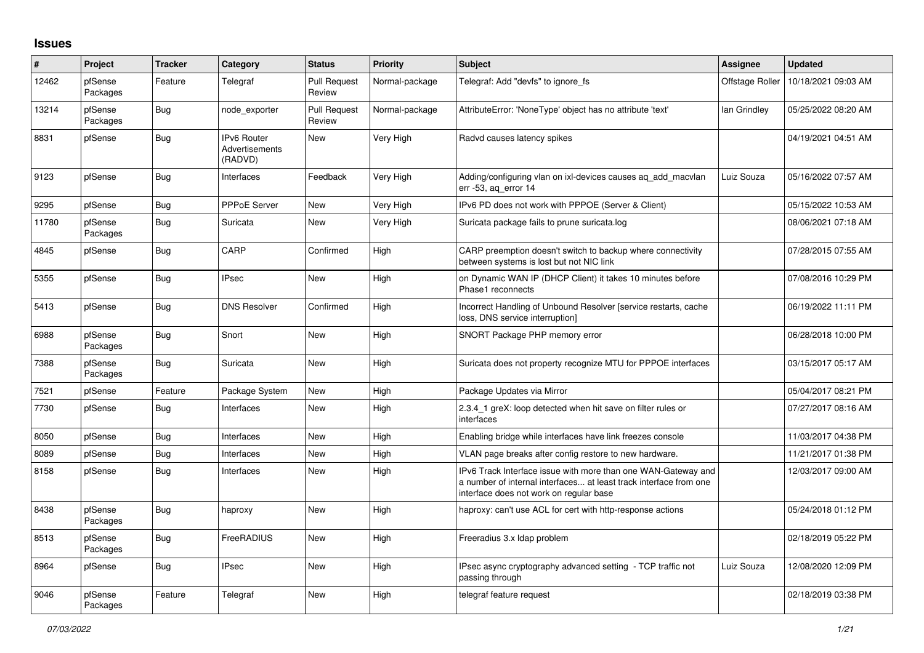## **Issues**

| #     | Project             | <b>Tracker</b> | Category                                               | <b>Status</b>                 | <b>Priority</b> | <b>Subject</b>                                                                                                                                                                | Assignee        | <b>Updated</b>      |
|-------|---------------------|----------------|--------------------------------------------------------|-------------------------------|-----------------|-------------------------------------------------------------------------------------------------------------------------------------------------------------------------------|-----------------|---------------------|
| 12462 | pfSense<br>Packages | Feature        | Telegraf                                               | <b>Pull Request</b><br>Review | Normal-package  | Telegraf: Add "devfs" to ignore fs                                                                                                                                            | Offstage Roller | 10/18/2021 09:03 AM |
| 13214 | pfSense<br>Packages | Bug            | node exporter                                          | <b>Pull Request</b><br>Review | Normal-package  | AttributeError: 'NoneType' object has no attribute 'text'                                                                                                                     | lan Grindlev    | 05/25/2022 08:20 AM |
| 8831  | pfSense             | <b>Bug</b>     | <b>IPv6 Router</b><br><b>Advertisements</b><br>(RADVD) | <b>New</b>                    | Very High       | Radvd causes latency spikes                                                                                                                                                   |                 | 04/19/2021 04:51 AM |
| 9123  | pfSense             | <b>Bug</b>     | Interfaces                                             | Feedback                      | Very High       | Adding/configuring vlan on ixl-devices causes ag add macvlan<br>err -53, ag error 14                                                                                          | Luiz Souza      | 05/16/2022 07:57 AM |
| 9295  | pfSense             | <b>Bug</b>     | <b>PPPoE Server</b>                                    | New                           | Very High       | IPv6 PD does not work with PPPOE (Server & Client)                                                                                                                            |                 | 05/15/2022 10:53 AM |
| 11780 | pfSense<br>Packages | Bug            | Suricata                                               | <b>New</b>                    | Very High       | Suricata package fails to prune suricata.log                                                                                                                                  |                 | 08/06/2021 07:18 AM |
| 4845  | pfSense             | <b>Bug</b>     | CARP                                                   | Confirmed                     | High            | CARP preemption doesn't switch to backup where connectivity<br>between systems is lost but not NIC link                                                                       |                 | 07/28/2015 07:55 AM |
| 5355  | pfSense             | Bug            | <b>IPsec</b>                                           | <b>New</b>                    | High            | on Dynamic WAN IP (DHCP Client) it takes 10 minutes before<br>Phase1 reconnects                                                                                               |                 | 07/08/2016 10:29 PM |
| 5413  | pfSense             | <b>Bug</b>     | <b>DNS Resolver</b>                                    | Confirmed                     | High            | Incorrect Handling of Unbound Resolver [service restarts, cache<br>loss, DNS service interruption]                                                                            |                 | 06/19/2022 11:11 PM |
| 6988  | pfSense<br>Packages | Bug            | Snort                                                  | <b>New</b>                    | High            | SNORT Package PHP memory error                                                                                                                                                |                 | 06/28/2018 10:00 PM |
| 7388  | pfSense<br>Packages | Bug            | Suricata                                               | <b>New</b>                    | High            | Suricata does not property recognize MTU for PPPOE interfaces                                                                                                                 |                 | 03/15/2017 05:17 AM |
| 7521  | pfSense             | Feature        | Package System                                         | New                           | High            | Package Updates via Mirror                                                                                                                                                    |                 | 05/04/2017 08:21 PM |
| 7730  | pfSense             | Bug            | Interfaces                                             | <b>New</b>                    | High            | 2.3.4_1 greX: loop detected when hit save on filter rules or<br>interfaces                                                                                                    |                 | 07/27/2017 08:16 AM |
| 8050  | pfSense             | Bug            | Interfaces                                             | <b>New</b>                    | High            | Enabling bridge while interfaces have link freezes console                                                                                                                    |                 | 11/03/2017 04:38 PM |
| 8089  | pfSense             | <b>Bug</b>     | Interfaces                                             | <b>New</b>                    | High            | VLAN page breaks after config restore to new hardware.                                                                                                                        |                 | 11/21/2017 01:38 PM |
| 8158  | pfSense             | Bug            | Interfaces                                             | <b>New</b>                    | High            | IPv6 Track Interface issue with more than one WAN-Gateway and<br>a number of internal interfaces at least track interface from one<br>interface does not work on regular base |                 | 12/03/2017 09:00 AM |
| 8438  | pfSense<br>Packages | Bug            | haproxy                                                | New                           | High            | haproxy: can't use ACL for cert with http-response actions                                                                                                                    |                 | 05/24/2018 01:12 PM |
| 8513  | pfSense<br>Packages | <b>Bug</b>     | FreeRADIUS                                             | New                           | High            | Freeradius 3.x Idap problem                                                                                                                                                   |                 | 02/18/2019 05:22 PM |
| 8964  | pfSense             | <b>Bug</b>     | <b>IPsec</b>                                           | New                           | High            | IPsec async cryptography advanced setting - TCP traffic not<br>passing through                                                                                                | Luiz Souza      | 12/08/2020 12:09 PM |
| 9046  | pfSense<br>Packages | Feature        | Telegraf                                               | New                           | High            | telegraf feature request                                                                                                                                                      |                 | 02/18/2019 03:38 PM |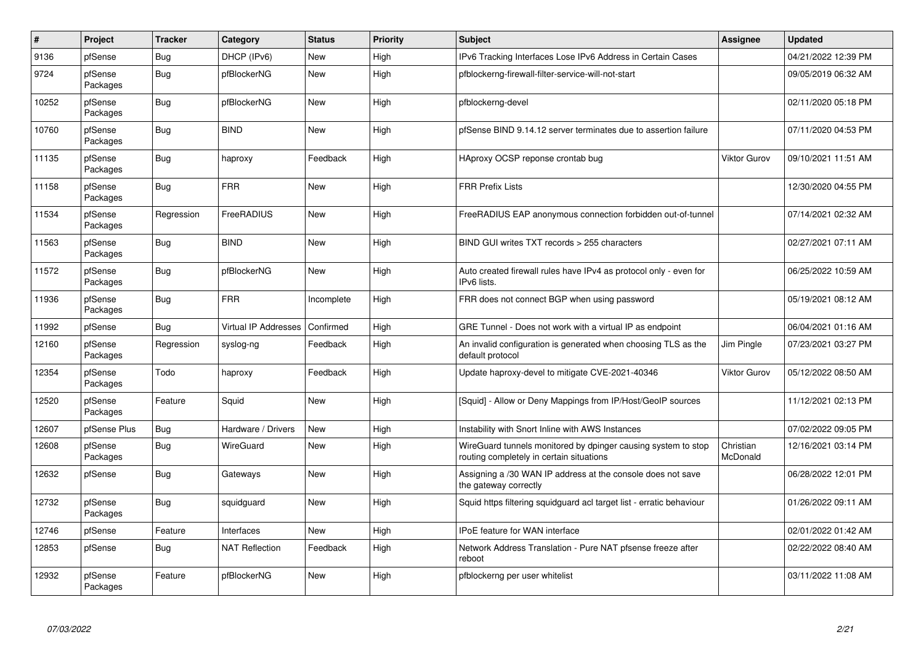| #     | Project             | <b>Tracker</b> | Category                    | <b>Status</b> | <b>Priority</b> | <b>Subject</b>                                                                                            | <b>Assignee</b>       | <b>Updated</b>      |
|-------|---------------------|----------------|-----------------------------|---------------|-----------------|-----------------------------------------------------------------------------------------------------------|-----------------------|---------------------|
| 9136  | pfSense             | Bug            | DHCP (IPv6)                 | <b>New</b>    | High            | IPv6 Tracking Interfaces Lose IPv6 Address in Certain Cases                                               |                       | 04/21/2022 12:39 PM |
| 9724  | pfSense<br>Packages | <b>Bug</b>     | pfBlockerNG                 | <b>New</b>    | High            | pfblockerng-firewall-filter-service-will-not-start                                                        |                       | 09/05/2019 06:32 AM |
| 10252 | pfSense<br>Packages | Bug            | pfBlockerNG                 | New           | High            | pfblockerng-devel                                                                                         |                       | 02/11/2020 05:18 PM |
| 10760 | pfSense<br>Packages | <b>Bug</b>     | <b>BIND</b>                 | <b>New</b>    | High            | pfSense BIND 9.14.12 server terminates due to assertion failure                                           |                       | 07/11/2020 04:53 PM |
| 11135 | pfSense<br>Packages | Bug            | haproxy                     | Feedback      | High            | HAproxy OCSP reponse crontab bug                                                                          | Viktor Gurov          | 09/10/2021 11:51 AM |
| 11158 | pfSense<br>Packages | Bug            | <b>FRR</b>                  | New           | High            | <b>FRR Prefix Lists</b>                                                                                   |                       | 12/30/2020 04:55 PM |
| 11534 | pfSense<br>Packages | Regression     | FreeRADIUS                  | New           | High            | FreeRADIUS EAP anonymous connection forbidden out-of-tunnel                                               |                       | 07/14/2021 02:32 AM |
| 11563 | pfSense<br>Packages | <b>Bug</b>     | <b>BIND</b>                 | <b>New</b>    | High            | BIND GUI writes TXT records > 255 characters                                                              |                       | 02/27/2021 07:11 AM |
| 11572 | pfSense<br>Packages | <b>Bug</b>     | pfBlockerNG                 | <b>New</b>    | High            | Auto created firewall rules have IPv4 as protocol only - even for<br>IPv6 lists.                          |                       | 06/25/2022 10:59 AM |
| 11936 | pfSense<br>Packages | <b>Bug</b>     | <b>FRR</b>                  | Incomplete    | High            | FRR does not connect BGP when using password                                                              |                       | 05/19/2021 08:12 AM |
| 11992 | pfSense             | Bug            | <b>Virtual IP Addresses</b> | Confirmed     | High            | GRE Tunnel - Does not work with a virtual IP as endpoint                                                  |                       | 06/04/2021 01:16 AM |
| 12160 | pfSense<br>Packages | Regression     | syslog-ng                   | Feedback      | High            | An invalid configuration is generated when choosing TLS as the<br>default protocol                        | Jim Pingle            | 07/23/2021 03:27 PM |
| 12354 | pfSense<br>Packages | Todo           | haproxy                     | Feedback      | High            | Update haproxy-devel to mitigate CVE-2021-40346                                                           | Viktor Gurov          | 05/12/2022 08:50 AM |
| 12520 | pfSense<br>Packages | Feature        | Squid                       | <b>New</b>    | High            | [Squid] - Allow or Deny Mappings from IP/Host/GeoIP sources                                               |                       | 11/12/2021 02:13 PM |
| 12607 | pfSense Plus        | Bug            | Hardware / Drivers          | <b>New</b>    | High            | Instability with Snort Inline with AWS Instances                                                          |                       | 07/02/2022 09:05 PM |
| 12608 | pfSense<br>Packages | Bug            | WireGuard                   | <b>New</b>    | High            | WireGuard tunnels monitored by dpinger causing system to stop<br>routing completely in certain situations | Christian<br>McDonald | 12/16/2021 03:14 PM |
| 12632 | pfSense             | <b>Bug</b>     | Gateways                    | <b>New</b>    | High            | Assigning a /30 WAN IP address at the console does not save<br>the gateway correctly                      |                       | 06/28/2022 12:01 PM |
| 12732 | pfSense<br>Packages | Bug            | squidguard                  | <b>New</b>    | High            | Squid https filtering squidguard acl target list - erratic behaviour                                      |                       | 01/26/2022 09:11 AM |
| 12746 | pfSense             | Feature        | Interfaces                  | <b>New</b>    | High            | IPoE feature for WAN interface                                                                            |                       | 02/01/2022 01:42 AM |
| 12853 | pfSense             | <b>Bug</b>     | <b>NAT Reflection</b>       | Feedback      | High            | Network Address Translation - Pure NAT pfsense freeze after<br>reboot                                     |                       | 02/22/2022 08:40 AM |
| 12932 | pfSense<br>Packages | Feature        | pfBlockerNG                 | <b>New</b>    | High            | pfblockerng per user whitelist                                                                            |                       | 03/11/2022 11:08 AM |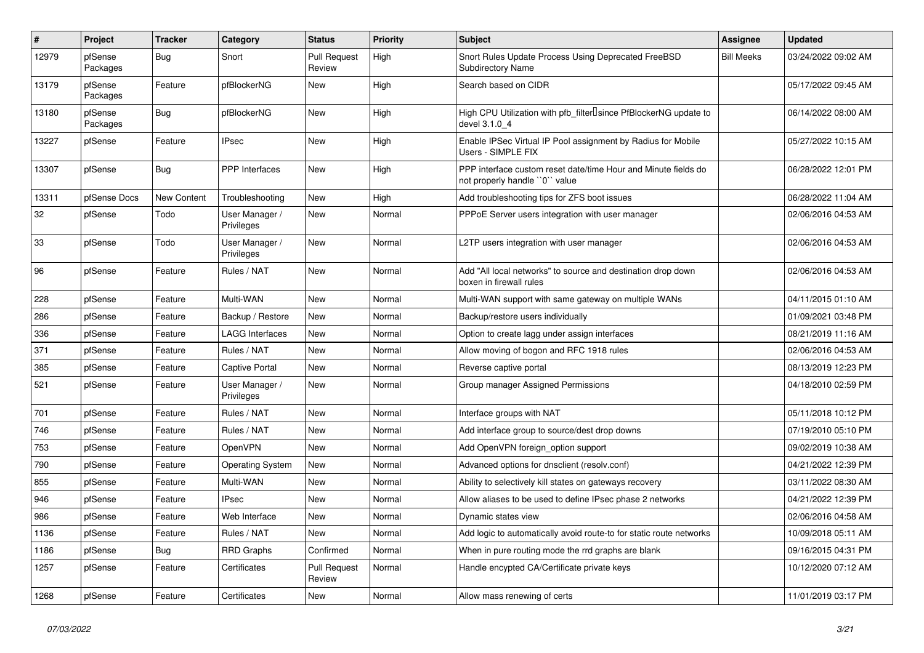| $\sharp$ | Project             | <b>Tracker</b>     | Category                     | <b>Status</b>                 | <b>Priority</b> | <b>Subject</b>                                                                                  | <b>Assignee</b>   | <b>Updated</b>      |
|----------|---------------------|--------------------|------------------------------|-------------------------------|-----------------|-------------------------------------------------------------------------------------------------|-------------------|---------------------|
| 12979    | pfSense<br>Packages | Bug                | Snort                        | <b>Pull Request</b><br>Review | High            | Snort Rules Update Process Using Deprecated FreeBSD<br><b>Subdirectory Name</b>                 | <b>Bill Meeks</b> | 03/24/2022 09:02 AM |
| 13179    | pfSense<br>Packages | Feature            | pfBlockerNG                  | <b>New</b>                    | High            | Search based on CIDR                                                                            |                   | 05/17/2022 09:45 AM |
| 13180    | pfSense<br>Packages | <b>Bug</b>         | pfBlockerNG                  | <b>New</b>                    | High            | High CPU Utilization with pfb filter Isince PfBlockerNG update to<br>devel 3.1.0 4              |                   | 06/14/2022 08:00 AM |
| 13227    | pfSense             | Feature            | <b>IPsec</b>                 | New                           | High            | Enable IPSec Virtual IP Pool assignment by Radius for Mobile<br>Users - SIMPLE FIX              |                   | 05/27/2022 10:15 AM |
| 13307    | pfSense             | <b>Bug</b>         | <b>PPP</b> Interfaces        | New                           | High            | PPP interface custom reset date/time Hour and Minute fields do<br>not properly handle "0" value |                   | 06/28/2022 12:01 PM |
| 13311    | pfSense Docs        | <b>New Content</b> | Troubleshooting              | New                           | High            | Add troubleshooting tips for ZFS boot issues                                                    |                   | 06/28/2022 11:04 AM |
| 32       | pfSense             | Todo               | User Manager /<br>Privileges | <b>New</b>                    | Normal          | PPPoE Server users integration with user manager                                                |                   | 02/06/2016 04:53 AM |
| 33       | pfSense             | Todo               | User Manager /<br>Privileges | New                           | Normal          | L2TP users integration with user manager                                                        |                   | 02/06/2016 04:53 AM |
| 96       | pfSense             | Feature            | Rules / NAT                  | New                           | Normal          | Add "All local networks" to source and destination drop down<br>boxen in firewall rules         |                   | 02/06/2016 04:53 AM |
| 228      | pfSense             | Feature            | Multi-WAN                    | New                           | Normal          | Multi-WAN support with same gateway on multiple WANs                                            |                   | 04/11/2015 01:10 AM |
| 286      | pfSense             | Feature            | Backup / Restore             | New                           | Normal          | Backup/restore users individually                                                               |                   | 01/09/2021 03:48 PM |
| 336      | pfSense             | Feature            | <b>LAGG Interfaces</b>       | New                           | Normal          | Option to create lagg under assign interfaces                                                   |                   | 08/21/2019 11:16 AM |
| 371      | pfSense             | Feature            | Rules / NAT                  | New                           | Normal          | Allow moving of bogon and RFC 1918 rules                                                        |                   | 02/06/2016 04:53 AM |
| 385      | pfSense             | Feature            | Captive Portal               | New                           | Normal          | Reverse captive portal                                                                          |                   | 08/13/2019 12:23 PM |
| 521      | pfSense             | Feature            | User Manager /<br>Privileges | New                           | Normal          | Group manager Assigned Permissions                                                              |                   | 04/18/2010 02:59 PM |
| 701      | pfSense             | Feature            | Rules / NAT                  | <b>New</b>                    | Normal          | Interface groups with NAT                                                                       |                   | 05/11/2018 10:12 PM |
| 746      | pfSense             | Feature            | Rules / NAT                  | New                           | Normal          | Add interface group to source/dest drop downs                                                   |                   | 07/19/2010 05:10 PM |
| 753      | pfSense             | Feature            | <b>OpenVPN</b>               | New                           | Normal          | Add OpenVPN foreign_option support                                                              |                   | 09/02/2019 10:38 AM |
| 790      | pfSense             | Feature            | Operating System             | New                           | Normal          | Advanced options for dnsclient (resolv.conf)                                                    |                   | 04/21/2022 12:39 PM |
| 855      | pfSense             | Feature            | Multi-WAN                    | <b>New</b>                    | Normal          | Ability to selectively kill states on gateways recovery                                         |                   | 03/11/2022 08:30 AM |
| 946      | pfSense             | Feature            | IPsec                        | New                           | Normal          | Allow aliases to be used to define IPsec phase 2 networks                                       |                   | 04/21/2022 12:39 PM |
| 986      | pfSense             | Feature            | Web Interface                | <b>New</b>                    | Normal          | Dynamic states view                                                                             |                   | 02/06/2016 04:58 AM |
| 1136     | pfSense             | Feature            | Rules / NAT                  | New                           | Normal          | Add logic to automatically avoid route-to for static route networks                             |                   | 10/09/2018 05:11 AM |
| 1186     | pfSense             | Bug                | <b>RRD Graphs</b>            | Confirmed                     | Normal          | When in pure routing mode the rrd graphs are blank                                              |                   | 09/16/2015 04:31 PM |
| 1257     | pfSense             | Feature            | Certificates                 | <b>Pull Request</b><br>Review | Normal          | Handle encypted CA/Certificate private keys                                                     |                   | 10/12/2020 07:12 AM |
| 1268     | pfSense             | Feature            | Certificates                 | New                           | Normal          | Allow mass renewing of certs                                                                    |                   | 11/01/2019 03:17 PM |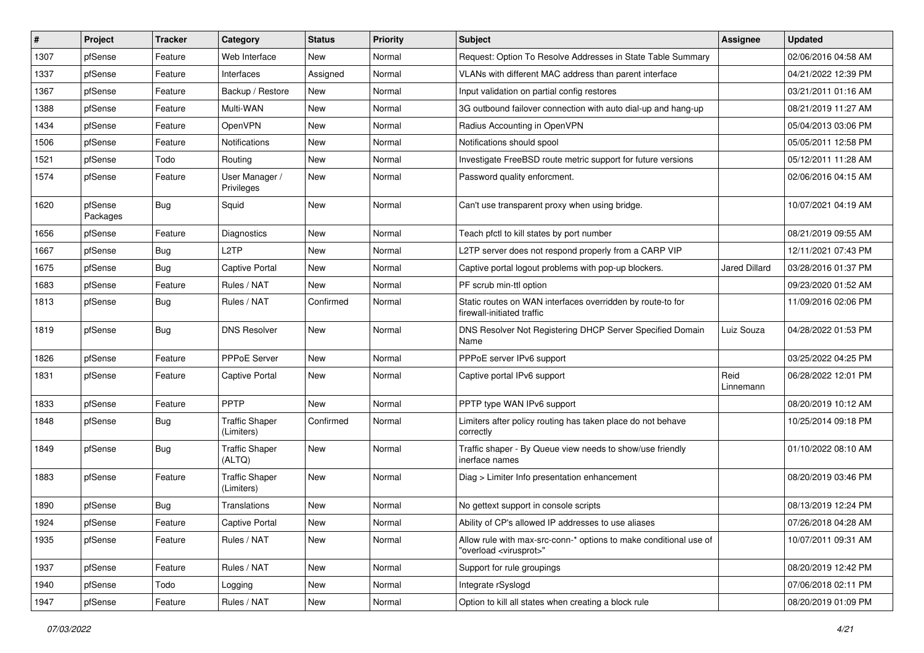| ∦    | Project             | <b>Tracker</b> | Category                            | <b>Status</b> | <b>Priority</b> | Subject                                                                                                 | <b>Assignee</b>   | <b>Updated</b>      |
|------|---------------------|----------------|-------------------------------------|---------------|-----------------|---------------------------------------------------------------------------------------------------------|-------------------|---------------------|
| 1307 | pfSense             | Feature        | Web Interface                       | New           | Normal          | Request: Option To Resolve Addresses in State Table Summary                                             |                   | 02/06/2016 04:58 AM |
| 1337 | pfSense             | Feature        | Interfaces                          | Assigned      | Normal          | VLANs with different MAC address than parent interface                                                  |                   | 04/21/2022 12:39 PM |
| 1367 | pfSense             | Feature        | Backup / Restore                    | New           | Normal          | Input validation on partial config restores                                                             |                   | 03/21/2011 01:16 AM |
| 1388 | pfSense             | Feature        | Multi-WAN                           | New           | Normal          | 3G outbound failover connection with auto dial-up and hang-up                                           |                   | 08/21/2019 11:27 AM |
| 1434 | pfSense             | Feature        | OpenVPN                             | New           | Normal          | Radius Accounting in OpenVPN                                                                            |                   | 05/04/2013 03:06 PM |
| 1506 | pfSense             | Feature        | Notifications                       | New           | Normal          | Notifications should spool                                                                              |                   | 05/05/2011 12:58 PM |
| 1521 | pfSense             | Todo           | Routing                             | New           | Normal          | Investigate FreeBSD route metric support for future versions                                            |                   | 05/12/2011 11:28 AM |
| 1574 | pfSense             | Feature        | User Manager /<br>Privileges        | New           | Normal          | Password quality enforcment.                                                                            |                   | 02/06/2016 04:15 AM |
| 1620 | pfSense<br>Packages | <b>Bug</b>     | Squid                               | New           | Normal          | Can't use transparent proxy when using bridge.                                                          |                   | 10/07/2021 04:19 AM |
| 1656 | pfSense             | Feature        | <b>Diagnostics</b>                  | New           | Normal          | Teach pfctl to kill states by port number                                                               |                   | 08/21/2019 09:55 AM |
| 1667 | pfSense             | <b>Bug</b>     | L <sub>2</sub> TP                   | <b>New</b>    | Normal          | L2TP server does not respond properly from a CARP VIP                                                   |                   | 12/11/2021 07:43 PM |
| 1675 | pfSense             | Bug            | Captive Portal                      | New           | Normal          | Captive portal logout problems with pop-up blockers.                                                    | Jared Dillard     | 03/28/2016 01:37 PM |
| 1683 | pfSense             | Feature        | Rules / NAT                         | New           | Normal          | PF scrub min-ttl option                                                                                 |                   | 09/23/2020 01:52 AM |
| 1813 | pfSense             | <b>Bug</b>     | Rules / NAT                         | Confirmed     | Normal          | Static routes on WAN interfaces overridden by route-to for<br>firewall-initiated traffic                |                   | 11/09/2016 02:06 PM |
| 1819 | pfSense             | <b>Bug</b>     | <b>DNS Resolver</b>                 | New           | Normal          | DNS Resolver Not Registering DHCP Server Specified Domain<br>Name                                       | Luiz Souza        | 04/28/2022 01:53 PM |
| 1826 | pfSense             | Feature        | PPPoE Server                        | New           | Normal          | PPPoE server IPv6 support                                                                               |                   | 03/25/2022 04:25 PM |
| 1831 | pfSense             | Feature        | Captive Portal                      | New           | Normal          | Captive portal IPv6 support                                                                             | Reid<br>Linnemann | 06/28/2022 12:01 PM |
| 1833 | pfSense             | Feature        | PPTP                                | New           | Normal          | PPTP type WAN IPv6 support                                                                              |                   | 08/20/2019 10:12 AM |
| 1848 | pfSense             | <b>Bug</b>     | <b>Traffic Shaper</b><br>(Limiters) | Confirmed     | Normal          | Limiters after policy routing has taken place do not behave<br>correctly                                |                   | 10/25/2014 09:18 PM |
| 1849 | pfSense             | <b>Bug</b>     | <b>Traffic Shaper</b><br>(ALTQ)     | New           | Normal          | Traffic shaper - By Queue view needs to show/use friendly<br>inerface names                             |                   | 01/10/2022 08:10 AM |
| 1883 | pfSense             | Feature        | <b>Traffic Shaper</b><br>(Limiters) | New           | Normal          | Diag > Limiter Info presentation enhancement                                                            |                   | 08/20/2019 03:46 PM |
| 1890 | pfSense             | <b>Bug</b>     | Translations                        | New           | Normal          | No gettext support in console scripts                                                                   |                   | 08/13/2019 12:24 PM |
| 1924 | pfSense             | Feature        | Captive Portal                      | New           | Normal          | Ability of CP's allowed IP addresses to use aliases                                                     |                   | 07/26/2018 04:28 AM |
| 1935 | pfSense             | Feature        | Rules / NAT                         | New           | Normal          | Allow rule with max-src-conn-* options to make conditional use of<br>"overload <virusprot>"</virusprot> |                   | 10/07/2011 09:31 AM |
| 1937 | pfSense             | Feature        | Rules / NAT                         | New           | Normal          | Support for rule groupings                                                                              |                   | 08/20/2019 12:42 PM |
| 1940 | pfSense             | Todo           | Logging                             | New           | Normal          | Integrate rSyslogd                                                                                      |                   | 07/06/2018 02:11 PM |
| 1947 | pfSense             | Feature        | Rules / NAT                         | New           | Normal          | Option to kill all states when creating a block rule                                                    |                   | 08/20/2019 01:09 PM |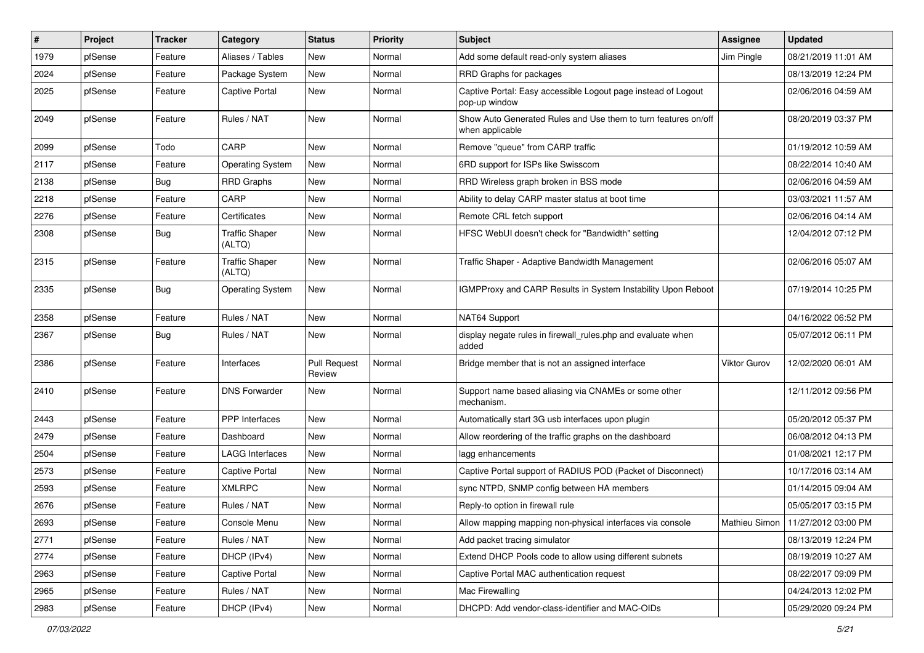| #    | Project | Tracker    | Category                        | <b>Status</b>                 | <b>Priority</b> | <b>Subject</b>                                                                    | <b>Assignee</b> | <b>Updated</b>                      |
|------|---------|------------|---------------------------------|-------------------------------|-----------------|-----------------------------------------------------------------------------------|-----------------|-------------------------------------|
| 1979 | pfSense | Feature    | Aliases / Tables                | New                           | Normal          | Add some default read-only system aliases                                         | Jim Pingle      | 08/21/2019 11:01 AM                 |
| 2024 | pfSense | Feature    | Package System                  | New                           | Normal          | RRD Graphs for packages                                                           |                 | 08/13/2019 12:24 PM                 |
| 2025 | pfSense | Feature    | Captive Portal                  | New                           | Normal          | Captive Portal: Easy accessible Logout page instead of Logout<br>pop-up window    |                 | 02/06/2016 04:59 AM                 |
| 2049 | pfSense | Feature    | Rules / NAT                     | New                           | Normal          | Show Auto Generated Rules and Use them to turn features on/off<br>when applicable |                 | 08/20/2019 03:37 PM                 |
| 2099 | pfSense | Todo       | CARP                            | New                           | Normal          | Remove "queue" from CARP traffic                                                  |                 | 01/19/2012 10:59 AM                 |
| 2117 | pfSense | Feature    | <b>Operating System</b>         | <b>New</b>                    | Normal          | 6RD support for ISPs like Swisscom                                                |                 | 08/22/2014 10:40 AM                 |
| 2138 | pfSense | Bug        | <b>RRD Graphs</b>               | New                           | Normal          | RRD Wireless graph broken in BSS mode                                             |                 | 02/06/2016 04:59 AM                 |
| 2218 | pfSense | Feature    | CARP                            | New                           | Normal          | Ability to delay CARP master status at boot time                                  |                 | 03/03/2021 11:57 AM                 |
| 2276 | pfSense | Feature    | Certificates                    | New                           | Normal          | Remote CRL fetch support                                                          |                 | 02/06/2016 04:14 AM                 |
| 2308 | pfSense | Bug        | <b>Traffic Shaper</b><br>(ALTQ) | New                           | Normal          | HFSC WebUI doesn't check for "Bandwidth" setting                                  |                 | 12/04/2012 07:12 PM                 |
| 2315 | pfSense | Feature    | <b>Traffic Shaper</b><br>(ALTQ) | New                           | Normal          | Traffic Shaper - Adaptive Bandwidth Management                                    |                 | 02/06/2016 05:07 AM                 |
| 2335 | pfSense | <b>Bug</b> | <b>Operating System</b>         | New                           | Normal          | IGMPProxy and CARP Results in System Instability Upon Reboot                      |                 | 07/19/2014 10:25 PM                 |
| 2358 | pfSense | Feature    | Rules / NAT                     | New                           | Normal          | NAT64 Support                                                                     |                 | 04/16/2022 06:52 PM                 |
| 2367 | pfSense | <b>Bug</b> | Rules / NAT                     | New                           | Normal          | display negate rules in firewall_rules.php and evaluate when<br>added             |                 | 05/07/2012 06:11 PM                 |
| 2386 | pfSense | Feature    | Interfaces                      | <b>Pull Request</b><br>Review | Normal          | Bridge member that is not an assigned interface                                   | Viktor Gurov    | 12/02/2020 06:01 AM                 |
| 2410 | pfSense | Feature    | <b>DNS Forwarder</b>            | New                           | Normal          | Support name based aliasing via CNAMEs or some other<br>mechanism.                |                 | 12/11/2012 09:56 PM                 |
| 2443 | pfSense | Feature    | PPP Interfaces                  | New                           | Normal          | Automatically start 3G usb interfaces upon plugin                                 |                 | 05/20/2012 05:37 PM                 |
| 2479 | pfSense | Feature    | Dashboard                       | New                           | Normal          | Allow reordering of the traffic graphs on the dashboard                           |                 | 06/08/2012 04:13 PM                 |
| 2504 | pfSense | Feature    | LAGG Interfaces                 | New                           | Normal          | lagg enhancements                                                                 |                 | 01/08/2021 12:17 PM                 |
| 2573 | pfSense | Feature    | Captive Portal                  | New                           | Normal          | Captive Portal support of RADIUS POD (Packet of Disconnect)                       |                 | 10/17/2016 03:14 AM                 |
| 2593 | pfSense | Feature    | <b>XMLRPC</b>                   | <b>New</b>                    | Normal          | sync NTPD, SNMP config between HA members                                         |                 | 01/14/2015 09:04 AM                 |
| 2676 | pfSense | Feature    | Rules / NAT                     | New                           | Normal          | Reply-to option in firewall rule                                                  |                 | 05/05/2017 03:15 PM                 |
| 2693 | pfSense | Feature    | Console Menu                    | New                           | Normal          | Allow mapping mapping non-physical interfaces via console                         |                 | Mathieu Simon   11/27/2012 03:00 PM |
| 2771 | pfSense | Feature    | Rules / NAT                     | New                           | Normal          | Add packet tracing simulator                                                      |                 | 08/13/2019 12:24 PM                 |
| 2774 | pfSense | Feature    | DHCP (IPv4)                     | New                           | Normal          | Extend DHCP Pools code to allow using different subnets                           |                 | 08/19/2019 10:27 AM                 |
| 2963 | pfSense | Feature    | Captive Portal                  | New                           | Normal          | Captive Portal MAC authentication request                                         |                 | 08/22/2017 09:09 PM                 |
| 2965 | pfSense | Feature    | Rules / NAT                     | New                           | Normal          | Mac Firewalling                                                                   |                 | 04/24/2013 12:02 PM                 |
| 2983 | pfSense | Feature    | DHCP (IPv4)                     | New                           | Normal          | DHCPD: Add vendor-class-identifier and MAC-OIDs                                   |                 | 05/29/2020 09:24 PM                 |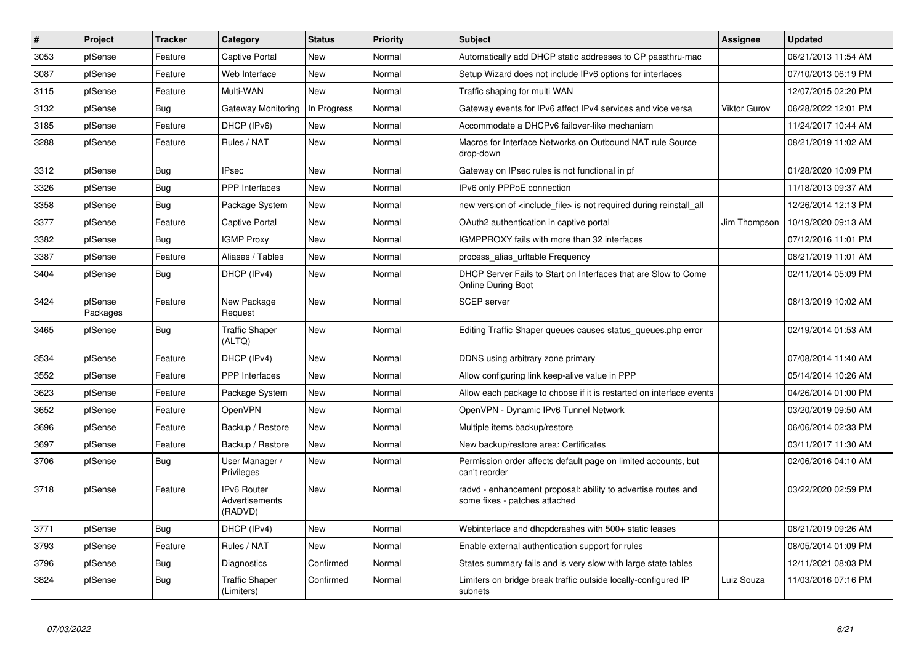| #    | Project             | <b>Tracker</b> | Category                                        | <b>Status</b> | <b>Priority</b> | <b>Subject</b>                                                                                 | <b>Assignee</b> | <b>Updated</b>      |
|------|---------------------|----------------|-------------------------------------------------|---------------|-----------------|------------------------------------------------------------------------------------------------|-----------------|---------------------|
| 3053 | pfSense             | Feature        | Captive Portal                                  | <b>New</b>    | Normal          | Automatically add DHCP static addresses to CP passthru-mac                                     |                 | 06/21/2013 11:54 AM |
| 3087 | pfSense             | Feature        | Web Interface                                   | <b>New</b>    | Normal          | Setup Wizard does not include IPv6 options for interfaces                                      |                 | 07/10/2013 06:19 PM |
| 3115 | pfSense             | Feature        | Multi-WAN                                       | New           | Normal          | Traffic shaping for multi WAN                                                                  |                 | 12/07/2015 02:20 PM |
| 3132 | pfSense             | <b>Bug</b>     | Gateway Monitoring                              | In Progress   | Normal          | Gateway events for IPv6 affect IPv4 services and vice versa                                    | Viktor Gurov    | 06/28/2022 12:01 PM |
| 3185 | pfSense             | Feature        | DHCP (IPv6)                                     | New           | Normal          | Accommodate a DHCPv6 failover-like mechanism                                                   |                 | 11/24/2017 10:44 AM |
| 3288 | pfSense             | Feature        | Rules / NAT                                     | New           | Normal          | Macros for Interface Networks on Outbound NAT rule Source<br>drop-down                         |                 | 08/21/2019 11:02 AM |
| 3312 | pfSense             | <b>Bug</b>     | <b>IPsec</b>                                    | <b>New</b>    | Normal          | Gateway on IPsec rules is not functional in pf                                                 |                 | 01/28/2020 10:09 PM |
| 3326 | pfSense             | Bug            | <b>PPP</b> Interfaces                           | <b>New</b>    | Normal          | IPv6 only PPPoE connection                                                                     |                 | 11/18/2013 09:37 AM |
| 3358 | pfSense             | <b>Bug</b>     | Package System                                  | New           | Normal          | new version of <include file=""> is not required during reinstall all</include>                |                 | 12/26/2014 12:13 PM |
| 3377 | pfSense             | Feature        | <b>Captive Portal</b>                           | <b>New</b>    | Normal          | OAuth2 authentication in captive portal                                                        | Jim Thompson    | 10/19/2020 09:13 AM |
| 3382 | pfSense             | Bug            | <b>IGMP Proxy</b>                               | New           | Normal          | IGMPPROXY fails with more than 32 interfaces                                                   |                 | 07/12/2016 11:01 PM |
| 3387 | pfSense             | Feature        | Aliases / Tables                                | New           | Normal          | process_alias_urltable Frequency                                                               |                 | 08/21/2019 11:01 AM |
| 3404 | pfSense             | <b>Bug</b>     | DHCP (IPv4)                                     | <b>New</b>    | Normal          | DHCP Server Fails to Start on Interfaces that are Slow to Come<br><b>Online During Boot</b>    |                 | 02/11/2014 05:09 PM |
| 3424 | pfSense<br>Packages | Feature        | New Package<br>Request                          | <b>New</b>    | Normal          | <b>SCEP</b> server                                                                             |                 | 08/13/2019 10:02 AM |
| 3465 | pfSense             | Bug            | <b>Traffic Shaper</b><br>(ALTQ)                 | New           | Normal          | Editing Traffic Shaper queues causes status queues.php error                                   |                 | 02/19/2014 01:53 AM |
| 3534 | pfSense             | Feature        | DHCP (IPv4)                                     | New           | Normal          | DDNS using arbitrary zone primary                                                              |                 | 07/08/2014 11:40 AM |
| 3552 | pfSense             | Feature        | PPP Interfaces                                  | New           | Normal          | Allow configuring link keep-alive value in PPP                                                 |                 | 05/14/2014 10:26 AM |
| 3623 | pfSense             | Feature        | Package System                                  | New           | Normal          | Allow each package to choose if it is restarted on interface events                            |                 | 04/26/2014 01:00 PM |
| 3652 | pfSense             | Feature        | OpenVPN                                         | New           | Normal          | OpenVPN - Dynamic IPv6 Tunnel Network                                                          |                 | 03/20/2019 09:50 AM |
| 3696 | pfSense             | Feature        | Backup / Restore                                | New           | Normal          | Multiple items backup/restore                                                                  |                 | 06/06/2014 02:33 PM |
| 3697 | pfSense             | Feature        | Backup / Restore                                | New           | Normal          | New backup/restore area: Certificates                                                          |                 | 03/11/2017 11:30 AM |
| 3706 | pfSense             | <b>Bug</b>     | User Manager /<br>Privileges                    | New           | Normal          | Permission order affects default page on limited accounts, but<br>can't reorder                |                 | 02/06/2016 04:10 AM |
| 3718 | pfSense             | Feature        | <b>IPv6 Router</b><br>Advertisements<br>(RADVD) | New           | Normal          | radvd - enhancement proposal: ability to advertise routes and<br>some fixes - patches attached |                 | 03/22/2020 02:59 PM |
| 3771 | pfSense             | Bug            | DHCP (IPv4)                                     | <b>New</b>    | Normal          | Webinterface and dhcpdcrashes with 500+ static leases                                          |                 | 08/21/2019 09:26 AM |
| 3793 | pfSense             | Feature        | Rules / NAT                                     | New           | Normal          | Enable external authentication support for rules                                               |                 | 08/05/2014 01:09 PM |
| 3796 | pfSense             | <b>Bug</b>     | Diagnostics                                     | Confirmed     | Normal          | States summary fails and is very slow with large state tables                                  |                 | 12/11/2021 08:03 PM |
| 3824 | pfSense             | Bug            | <b>Traffic Shaper</b><br>(Limiters)             | Confirmed     | Normal          | Limiters on bridge break traffic outside locally-configured IP<br>subnets                      | Luiz Souza      | 11/03/2016 07:16 PM |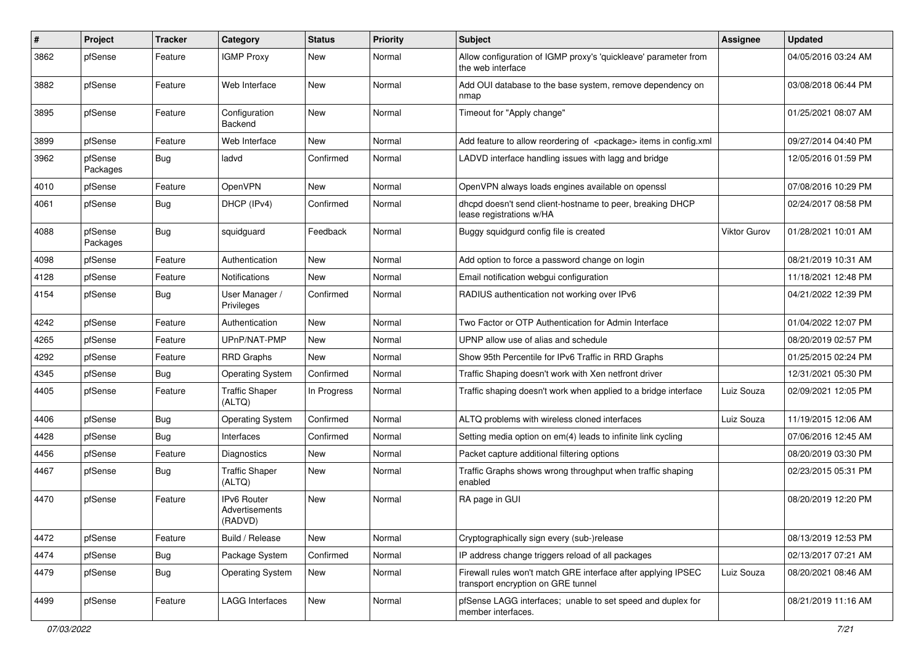| #    | Project             | <b>Tracker</b> | Category                                        | <b>Status</b> | <b>Priority</b> | Subject                                                                                             | <b>Assignee</b> | <b>Updated</b>      |
|------|---------------------|----------------|-------------------------------------------------|---------------|-----------------|-----------------------------------------------------------------------------------------------------|-----------------|---------------------|
| 3862 | pfSense             | Feature        | <b>IGMP Proxy</b>                               | New           | Normal          | Allow configuration of IGMP proxy's 'quickleave' parameter from<br>the web interface                |                 | 04/05/2016 03:24 AM |
| 3882 | pfSense             | Feature        | Web Interface                                   | New           | Normal          | Add OUI database to the base system, remove dependency on<br>nmap                                   |                 | 03/08/2018 06:44 PM |
| 3895 | pfSense             | Feature        | Configuration<br>Backend                        | New           | Normal          | Timeout for "Apply change"                                                                          |                 | 01/25/2021 08:07 AM |
| 3899 | pfSense             | Feature        | Web Interface                                   | New           | Normal          | Add feature to allow reordering of <package> items in config.xml</package>                          |                 | 09/27/2014 04:40 PM |
| 3962 | pfSense<br>Packages | Bug            | ladvd                                           | Confirmed     | Normal          | LADVD interface handling issues with lagg and bridge                                                |                 | 12/05/2016 01:59 PM |
| 4010 | pfSense             | Feature        | OpenVPN                                         | New           | Normal          | OpenVPN always loads engines available on openssl                                                   |                 | 07/08/2016 10:29 PM |
| 4061 | pfSense             | Bug            | DHCP (IPv4)                                     | Confirmed     | Normal          | dhcpd doesn't send client-hostname to peer, breaking DHCP<br>lease registrations w/HA               |                 | 02/24/2017 08:58 PM |
| 4088 | pfSense<br>Packages | Bug            | squidguard                                      | Feedback      | Normal          | Buggy squidgurd config file is created                                                              | Viktor Gurov    | 01/28/2021 10:01 AM |
| 4098 | pfSense             | Feature        | Authentication                                  | <b>New</b>    | Normal          | Add option to force a password change on login                                                      |                 | 08/21/2019 10:31 AM |
| 4128 | pfSense             | Feature        | <b>Notifications</b>                            | New           | Normal          | Email notification webgui configuration                                                             |                 | 11/18/2021 12:48 PM |
| 4154 | pfSense             | <b>Bug</b>     | User Manager /<br>Privileges                    | Confirmed     | Normal          | RADIUS authentication not working over IPv6                                                         |                 | 04/21/2022 12:39 PM |
| 4242 | pfSense             | Feature        | Authentication                                  | <b>New</b>    | Normal          | Two Factor or OTP Authentication for Admin Interface                                                |                 | 01/04/2022 12:07 PM |
| 4265 | pfSense             | Feature        | UPnP/NAT-PMP                                    | New           | Normal          | UPNP allow use of alias and schedule                                                                |                 | 08/20/2019 02:57 PM |
| 4292 | pfSense             | Feature        | <b>RRD Graphs</b>                               | New           | Normal          | Show 95th Percentile for IPv6 Traffic in RRD Graphs                                                 |                 | 01/25/2015 02:24 PM |
| 4345 | pfSense             | <b>Bug</b>     | <b>Operating System</b>                         | Confirmed     | Normal          | Traffic Shaping doesn't work with Xen netfront driver                                               |                 | 12/31/2021 05:30 PM |
| 4405 | pfSense             | Feature        | <b>Traffic Shaper</b><br>(ALTQ)                 | In Progress   | Normal          | Traffic shaping doesn't work when applied to a bridge interface                                     | Luiz Souza      | 02/09/2021 12:05 PM |
| 4406 | pfSense             | <b>Bug</b>     | <b>Operating System</b>                         | Confirmed     | Normal          | ALTQ problems with wireless cloned interfaces                                                       | Luiz Souza      | 11/19/2015 12:06 AM |
| 4428 | pfSense             | Bug            | Interfaces                                      | Confirmed     | Normal          | Setting media option on em(4) leads to infinite link cycling                                        |                 | 07/06/2016 12:45 AM |
| 4456 | pfSense             | Feature        | Diagnostics                                     | New           | Normal          | Packet capture additional filtering options                                                         |                 | 08/20/2019 03:30 PM |
| 4467 | pfSense             | <b>Bug</b>     | <b>Traffic Shaper</b><br>(ALTQ)                 | New           | Normal          | Traffic Graphs shows wrong throughput when traffic shaping<br>enabled                               |                 | 02/23/2015 05:31 PM |
| 4470 | pfSense             | Feature        | <b>IPv6 Router</b><br>Advertisements<br>(RADVD) | New           | Normal          | RA page in GUI                                                                                      |                 | 08/20/2019 12:20 PM |
| 4472 | pfSense             | Feature        | Build / Release                                 | New           | Normal          | Cryptographically sign every (sub-)release                                                          |                 | 08/13/2019 12:53 PM |
| 4474 | pfSense             | <b>Bug</b>     | Package System                                  | Confirmed     | Normal          | IP address change triggers reload of all packages                                                   |                 | 02/13/2017 07:21 AM |
| 4479 | pfSense             | <b>Bug</b>     | <b>Operating System</b>                         | New           | Normal          | Firewall rules won't match GRE interface after applying IPSEC<br>transport encryption on GRE tunnel | Luiz Souza      | 08/20/2021 08:46 AM |
| 4499 | pfSense             | Feature        | LAGG Interfaces                                 | New           | Normal          | pfSense LAGG interfaces; unable to set speed and duplex for<br>member interfaces.                   |                 | 08/21/2019 11:16 AM |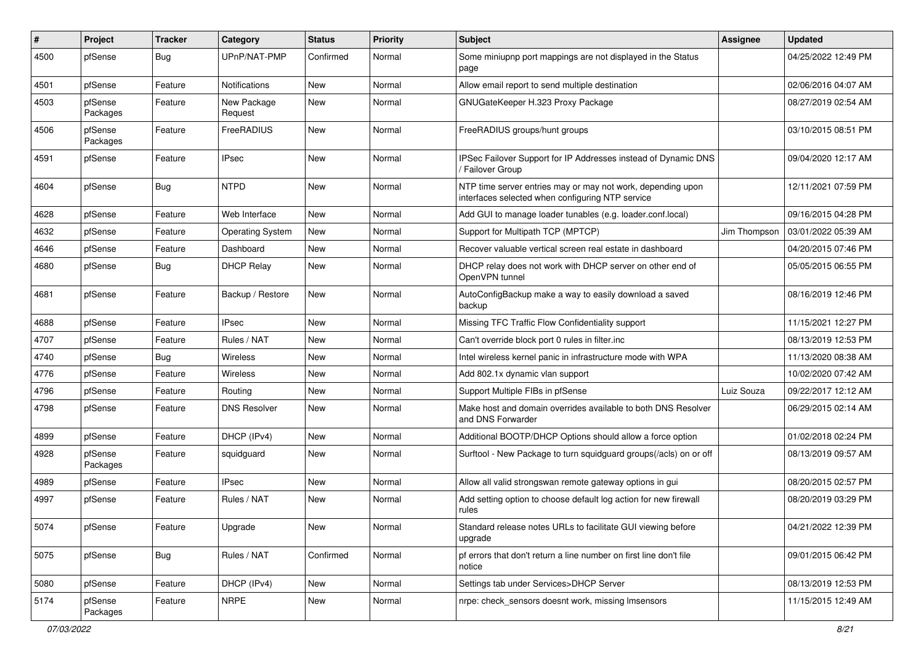| $\vert$ # | Project             | <b>Tracker</b> | Category                | <b>Status</b> | <b>Priority</b> | <b>Subject</b>                                                                                                  | Assignee     | <b>Updated</b>      |
|-----------|---------------------|----------------|-------------------------|---------------|-----------------|-----------------------------------------------------------------------------------------------------------------|--------------|---------------------|
| 4500      | pfSense             | <b>Bug</b>     | UPnP/NAT-PMP            | Confirmed     | Normal          | Some miniupnp port mappings are not displayed in the Status<br>page                                             |              | 04/25/2022 12:49 PM |
| 4501      | pfSense             | Feature        | Notifications           | New           | Normal          | Allow email report to send multiple destination                                                                 |              | 02/06/2016 04:07 AM |
| 4503      | pfSense<br>Packages | Feature        | New Package<br>Request  | New           | Normal          | GNUGateKeeper H.323 Proxy Package                                                                               |              | 08/27/2019 02:54 AM |
| 4506      | pfSense<br>Packages | Feature        | FreeRADIUS              | New           | Normal          | FreeRADIUS groups/hunt groups                                                                                   |              | 03/10/2015 08:51 PM |
| 4591      | pfSense             | Feature        | <b>IPsec</b>            | New           | Normal          | IPSec Failover Support for IP Addresses instead of Dynamic DNS<br>/ Failover Group                              |              | 09/04/2020 12:17 AM |
| 4604      | pfSense             | <b>Bug</b>     | <b>NTPD</b>             | New           | Normal          | NTP time server entries may or may not work, depending upon<br>interfaces selected when configuring NTP service |              | 12/11/2021 07:59 PM |
| 4628      | pfSense             | Feature        | Web Interface           | New           | Normal          | Add GUI to manage loader tunables (e.g. loader.conf.local)                                                      |              | 09/16/2015 04:28 PM |
| 4632      | pfSense             | Feature        | <b>Operating System</b> | <b>New</b>    | Normal          | Support for Multipath TCP (MPTCP)                                                                               | Jim Thompson | 03/01/2022 05:39 AM |
| 4646      | pfSense             | Feature        | Dashboard               | New           | Normal          | Recover valuable vertical screen real estate in dashboard                                                       |              | 04/20/2015 07:46 PM |
| 4680      | pfSense             | <b>Bug</b>     | <b>DHCP Relay</b>       | New           | Normal          | DHCP relay does not work with DHCP server on other end of<br>OpenVPN tunnel                                     |              | 05/05/2015 06:55 PM |
| 4681      | pfSense             | Feature        | Backup / Restore        | New           | Normal          | AutoConfigBackup make a way to easily download a saved<br>backup                                                |              | 08/16/2019 12:46 PM |
| 4688      | pfSense             | Feature        | <b>IPsec</b>            | <b>New</b>    | Normal          | Missing TFC Traffic Flow Confidentiality support                                                                |              | 11/15/2021 12:27 PM |
| 4707      | pfSense             | Feature        | Rules / NAT             | New           | Normal          | Can't override block port 0 rules in filter.inc                                                                 |              | 08/13/2019 12:53 PM |
| 4740      | pfSense             | <b>Bug</b>     | Wireless                | New           | Normal          | Intel wireless kernel panic in infrastructure mode with WPA                                                     |              | 11/13/2020 08:38 AM |
| 4776      | pfSense             | Feature        | Wireless                | New           | Normal          | Add 802.1x dynamic vlan support                                                                                 |              | 10/02/2020 07:42 AM |
| 4796      | pfSense             | Feature        | Routing                 | New           | Normal          | Support Multiple FIBs in pfSense                                                                                | Luiz Souza   | 09/22/2017 12:12 AM |
| 4798      | pfSense             | Feature        | <b>DNS Resolver</b>     | New           | Normal          | Make host and domain overrides available to both DNS Resolver<br>and DNS Forwarder                              |              | 06/29/2015 02:14 AM |
| 4899      | pfSense             | Feature        | DHCP (IPv4)             | New           | Normal          | Additional BOOTP/DHCP Options should allow a force option                                                       |              | 01/02/2018 02:24 PM |
| 4928      | pfSense<br>Packages | Feature        | squidguard              | <b>New</b>    | Normal          | Surftool - New Package to turn squidguard groups(/acls) on or off                                               |              | 08/13/2019 09:57 AM |
| 4989      | pfSense             | Feature        | <b>IPsec</b>            | New           | Normal          | Allow all valid strongswan remote gateway options in gui                                                        |              | 08/20/2015 02:57 PM |
| 4997      | pfSense             | Feature        | Rules / NAT             | New           | Normal          | Add setting option to choose default log action for new firewall<br>rules                                       |              | 08/20/2019 03:29 PM |
| 5074      | pfSense             | Feature        | Upgrade                 | New           | Normal          | Standard release notes URLs to facilitate GUI viewing before<br>upgrade                                         |              | 04/21/2022 12:39 PM |
| 5075      | pfSense             | Bug            | Rules / NAT             | Confirmed     | Normal          | pf errors that don't return a line number on first line don't file<br>notice                                    |              | 09/01/2015 06:42 PM |
| 5080      | pfSense             | Feature        | DHCP (IPv4)             | New           | Normal          | Settings tab under Services>DHCP Server                                                                         |              | 08/13/2019 12:53 PM |
| 5174      | pfSense<br>Packages | Feature        | <b>NRPE</b>             | New           | Normal          | nrpe: check sensors doesnt work, missing Imsensors                                                              |              | 11/15/2015 12:49 AM |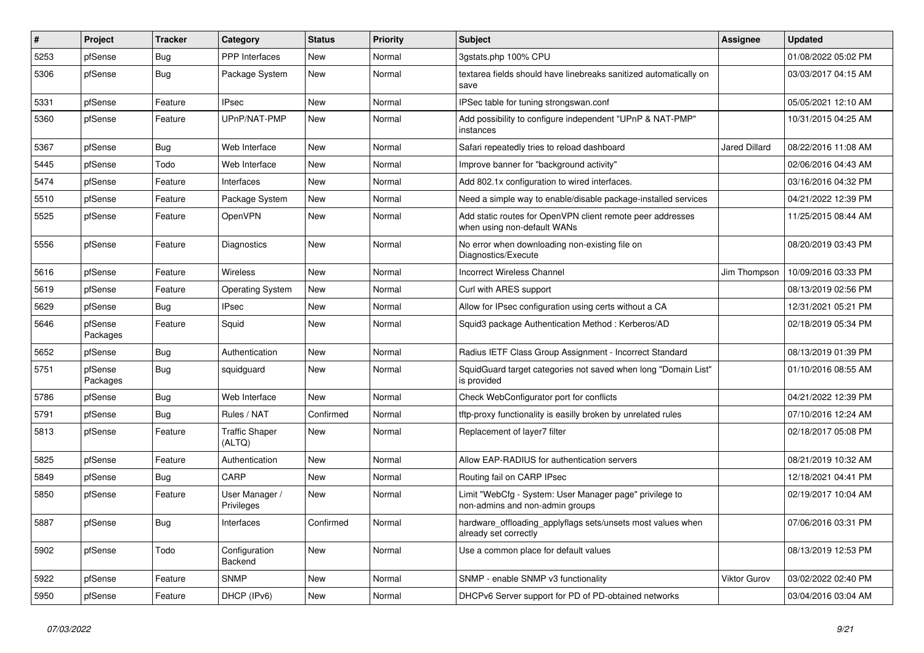| $\sharp$ | Project             | <b>Tracker</b> | Category                        | <b>Status</b> | <b>Priority</b> | <b>Subject</b>                                                                             | <b>Assignee</b>      | <b>Updated</b>      |
|----------|---------------------|----------------|---------------------------------|---------------|-----------------|--------------------------------------------------------------------------------------------|----------------------|---------------------|
| 5253     | pfSense             | Bug            | PPP Interfaces                  | New           | Normal          | 3gstats.php 100% CPU                                                                       |                      | 01/08/2022 05:02 PM |
| 5306     | pfSense             | <b>Bug</b>     | Package System                  | New           | Normal          | textarea fields should have linebreaks sanitized automatically on<br>save                  |                      | 03/03/2017 04:15 AM |
| 5331     | pfSense             | Feature        | <b>IPsec</b>                    | New           | Normal          | IPSec table for tuning strongswan.conf                                                     |                      | 05/05/2021 12:10 AM |
| 5360     | pfSense             | Feature        | UPnP/NAT-PMP                    | New           | Normal          | Add possibility to configure independent "UPnP & NAT-PMP"<br>instances                     |                      | 10/31/2015 04:25 AM |
| 5367     | pfSense             | Bug            | Web Interface                   | New           | Normal          | Safari repeatedly tries to reload dashboard                                                | <b>Jared Dillard</b> | 08/22/2016 11:08 AM |
| 5445     | pfSense             | Todo           | Web Interface                   | New           | Normal          | Improve banner for "background activity"                                                   |                      | 02/06/2016 04:43 AM |
| 5474     | pfSense             | Feature        | Interfaces                      | New           | Normal          | Add 802.1x configuration to wired interfaces.                                              |                      | 03/16/2016 04:32 PM |
| 5510     | pfSense             | Feature        | Package System                  | New           | Normal          | Need a simple way to enable/disable package-installed services                             |                      | 04/21/2022 12:39 PM |
| 5525     | pfSense             | Feature        | <b>OpenVPN</b>                  | <b>New</b>    | Normal          | Add static routes for OpenVPN client remote peer addresses<br>when using non-default WANs  |                      | 11/25/2015 08:44 AM |
| 5556     | pfSense             | Feature        | Diagnostics                     | New           | Normal          | No error when downloading non-existing file on<br>Diagnostics/Execute                      |                      | 08/20/2019 03:43 PM |
| 5616     | pfSense             | Feature        | Wireless                        | <b>New</b>    | Normal          | <b>Incorrect Wireless Channel</b>                                                          | Jim Thompson         | 10/09/2016 03:33 PM |
| 5619     | pfSense             | Feature        | Operating System                | <b>New</b>    | Normal          | Curl with ARES support                                                                     |                      | 08/13/2019 02:56 PM |
| 5629     | pfSense             | Bug            | IPsec                           | <b>New</b>    | Normal          | Allow for IPsec configuration using certs without a CA                                     |                      | 12/31/2021 05:21 PM |
| 5646     | pfSense<br>Packages | Feature        | Squid                           | <b>New</b>    | Normal          | Squid3 package Authentication Method: Kerberos/AD                                          |                      | 02/18/2019 05:34 PM |
| 5652     | pfSense             | Bug            | Authentication                  | New           | Normal          | Radius IETF Class Group Assignment - Incorrect Standard                                    |                      | 08/13/2019 01:39 PM |
| 5751     | pfSense<br>Packages | Bug            | squidguard                      | New           | Normal          | SquidGuard target categories not saved when long "Domain List"<br>is provided              |                      | 01/10/2016 08:55 AM |
| 5786     | pfSense             | Bug            | Web Interface                   | New           | Normal          | Check WebConfigurator port for conflicts                                                   |                      | 04/21/2022 12:39 PM |
| 5791     | pfSense             | Bug            | Rules / NAT                     | Confirmed     | Normal          | tftp-proxy functionality is easilly broken by unrelated rules                              |                      | 07/10/2016 12:24 AM |
| 5813     | pfSense             | Feature        | <b>Traffic Shaper</b><br>(ALTQ) | <b>New</b>    | Normal          | Replacement of layer7 filter                                                               |                      | 02/18/2017 05:08 PM |
| 5825     | pfSense             | Feature        | Authentication                  | New           | Normal          | Allow EAP-RADIUS for authentication servers                                                |                      | 08/21/2019 10:32 AM |
| 5849     | pfSense             | <b>Bug</b>     | CARP                            | New           | Normal          | Routing fail on CARP IPsec                                                                 |                      | 12/18/2021 04:41 PM |
| 5850     | pfSense             | Feature        | User Manager /<br>Privileges    | New           | Normal          | Limit "WebCfg - System: User Manager page" privilege to<br>non-admins and non-admin groups |                      | 02/19/2017 10:04 AM |
| 5887     | pfSense             | Bug            | Interfaces                      | Confirmed     | Normal          | hardware_offloading_applyflags sets/unsets most values when<br>already set correctly       |                      | 07/06/2016 03:31 PM |
| 5902     | pfSense             | Todo           | Configuration<br>Backend        | New           | Normal          | Use a common place for default values                                                      |                      | 08/13/2019 12:53 PM |
| 5922     | pfSense             | Feature        | <b>SNMP</b>                     | <b>New</b>    | Normal          | SNMP - enable SNMP v3 functionality                                                        | <b>Viktor Gurov</b>  | 03/02/2022 02:40 PM |
| 5950     | pfSense             | Feature        | DHCP (IPv6)                     | New           | Normal          | DHCPv6 Server support for PD of PD-obtained networks                                       |                      | 03/04/2016 03:04 AM |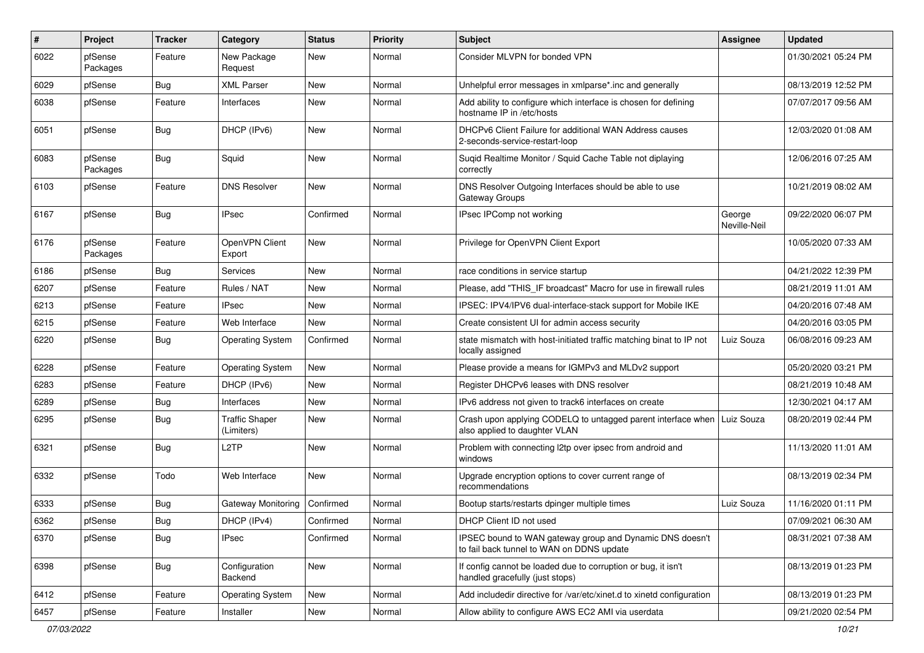| #    | Project             | Tracker    | Category                            | <b>Status</b> | <b>Priority</b> | <b>Subject</b>                                                                                        | <b>Assignee</b>        | <b>Updated</b>      |
|------|---------------------|------------|-------------------------------------|---------------|-----------------|-------------------------------------------------------------------------------------------------------|------------------------|---------------------|
| 6022 | pfSense<br>Packages | Feature    | New Package<br>Request              | New           | Normal          | Consider MLVPN for bonded VPN                                                                         |                        | 01/30/2021 05:24 PM |
| 6029 | pfSense             | Bug        | XML Parser                          | New           | Normal          | Unhelpful error messages in xmlparse*.inc and generally                                               |                        | 08/13/2019 12:52 PM |
| 6038 | pfSense             | Feature    | Interfaces                          | New           | Normal          | Add ability to configure which interface is chosen for defining<br>hostname IP in /etc/hosts          |                        | 07/07/2017 09:56 AM |
| 6051 | pfSense             | <b>Bug</b> | DHCP (IPv6)                         | New           | Normal          | DHCPv6 Client Failure for additional WAN Address causes<br>2-seconds-service-restart-loop             |                        | 12/03/2020 01:08 AM |
| 6083 | pfSense<br>Packages | <b>Bug</b> | Squid                               | New           | Normal          | Suqid Realtime Monitor / Squid Cache Table not diplaying<br>correctly                                 |                        | 12/06/2016 07:25 AM |
| 6103 | pfSense             | Feature    | <b>DNS Resolver</b>                 | New           | Normal          | DNS Resolver Outgoing Interfaces should be able to use<br>Gateway Groups                              |                        | 10/21/2019 08:02 AM |
| 6167 | pfSense             | <b>Bug</b> | IPsec                               | Confirmed     | Normal          | IPsec IPComp not working                                                                              | George<br>Neville-Neil | 09/22/2020 06:07 PM |
| 6176 | pfSense<br>Packages | Feature    | OpenVPN Client<br>Export            | New           | Normal          | Privilege for OpenVPN Client Export                                                                   |                        | 10/05/2020 07:33 AM |
| 6186 | pfSense             | <b>Bug</b> | Services                            | New           | Normal          | race conditions in service startup                                                                    |                        | 04/21/2022 12:39 PM |
| 6207 | pfSense             | Feature    | Rules / NAT                         | New           | Normal          | Please, add "THIS IF broadcast" Macro for use in firewall rules                                       |                        | 08/21/2019 11:01 AM |
| 6213 | pfSense             | Feature    | IPsec                               | New           | Normal          | IPSEC: IPV4/IPV6 dual-interface-stack support for Mobile IKE                                          |                        | 04/20/2016 07:48 AM |
| 6215 | pfSense             | Feature    | Web Interface                       | New           | Normal          | Create consistent UI for admin access security                                                        |                        | 04/20/2016 03:05 PM |
| 6220 | pfSense             | Bug        | <b>Operating System</b>             | Confirmed     | Normal          | state mismatch with host-initiated traffic matching binat to IP not<br>locally assigned               | Luiz Souza             | 06/08/2016 09:23 AM |
| 6228 | pfSense             | Feature    | <b>Operating System</b>             | New           | Normal          | Please provide a means for IGMPv3 and MLDv2 support                                                   |                        | 05/20/2020 03:21 PM |
| 6283 | pfSense             | Feature    | DHCP (IPv6)                         | New           | Normal          | Register DHCPv6 leases with DNS resolver                                                              |                        | 08/21/2019 10:48 AM |
| 6289 | pfSense             | <b>Bug</b> | Interfaces                          | New           | Normal          | IPv6 address not given to track6 interfaces on create                                                 |                        | 12/30/2021 04:17 AM |
| 6295 | pfSense             | <b>Bug</b> | <b>Traffic Shaper</b><br>(Limiters) | New           | Normal          | Crash upon applying CODELQ to untagged parent interface when<br>also applied to daughter VLAN         | Luiz Souza             | 08/20/2019 02:44 PM |
| 6321 | pfSense             | <b>Bug</b> | L <sub>2</sub> TP                   | New           | Normal          | Problem with connecting l2tp over ipsec from android and<br>windows                                   |                        | 11/13/2020 11:01 AM |
| 6332 | pfSense             | Todo       | Web Interface                       | New           | Normal          | Upgrade encryption options to cover current range of<br>recommendations                               |                        | 08/13/2019 02:34 PM |
| 6333 | pfSense             | <b>Bug</b> | Gateway Monitoring                  | Confirmed     | Normal          | Bootup starts/restarts dpinger multiple times                                                         | Luiz Souza             | 11/16/2020 01:11 PM |
| 6362 | pfSense             | <b>Bug</b> | DHCP (IPv4)                         | Confirmed     | Normal          | DHCP Client ID not used                                                                               |                        | 07/09/2021 06:30 AM |
| 6370 | pfSense             | Bug        | IPsec                               | Confirmed     | Normal          | IPSEC bound to WAN gateway group and Dynamic DNS doesn't<br>to fail back tunnel to WAN on DDNS update |                        | 08/31/2021 07:38 AM |
| 6398 | pfSense             | Bug        | Configuration<br>Backend            | New           | Normal          | If config cannot be loaded due to corruption or bug, it isn't<br>handled gracefully (just stops)      |                        | 08/13/2019 01:23 PM |
| 6412 | pfSense             | Feature    | <b>Operating System</b>             | New           | Normal          | Add includedir directive for /var/etc/xinet.d to xinetd configuration                                 |                        | 08/13/2019 01:23 PM |
| 6457 | pfSense             | Feature    | Installer                           | New           | Normal          | Allow ability to configure AWS EC2 AMI via userdata                                                   |                        | 09/21/2020 02:54 PM |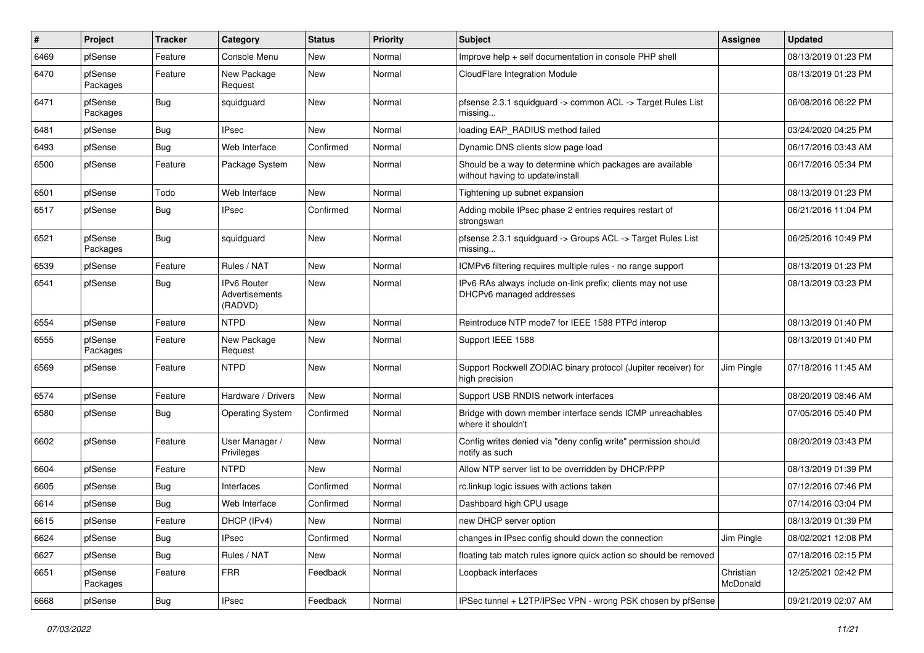| #    | Project             | <b>Tracker</b> | Category                                        | <b>Status</b> | <b>Priority</b> | <b>Subject</b>                                                                                | Assignee              | <b>Updated</b>      |
|------|---------------------|----------------|-------------------------------------------------|---------------|-----------------|-----------------------------------------------------------------------------------------------|-----------------------|---------------------|
| 6469 | pfSense             | Feature        | Console Menu                                    | New           | Normal          | Improve help + self documentation in console PHP shell                                        |                       | 08/13/2019 01:23 PM |
| 6470 | pfSense<br>Packages | Feature        | New Package<br>Request                          | New           | Normal          | CloudFlare Integration Module                                                                 |                       | 08/13/2019 01:23 PM |
| 6471 | pfSense<br>Packages | <b>Bug</b>     | squidguard                                      | New           | Normal          | pfsense 2.3.1 squidguard -> common ACL -> Target Rules List<br>missing                        |                       | 06/08/2016 06:22 PM |
| 6481 | pfSense             | Bug            | <b>IPsec</b>                                    | New           | Normal          | loading EAP RADIUS method failed                                                              |                       | 03/24/2020 04:25 PM |
| 6493 | pfSense             | <b>Bug</b>     | Web Interface                                   | Confirmed     | Normal          | Dynamic DNS clients slow page load                                                            |                       | 06/17/2016 03:43 AM |
| 6500 | pfSense             | Feature        | Package System                                  | New           | Normal          | Should be a way to determine which packages are available<br>without having to update/install |                       | 06/17/2016 05:34 PM |
| 6501 | pfSense             | Todo           | Web Interface                                   | New           | Normal          | Tightening up subnet expansion                                                                |                       | 08/13/2019 01:23 PM |
| 6517 | pfSense             | <b>Bug</b>     | <b>IPsec</b>                                    | Confirmed     | Normal          | Adding mobile IPsec phase 2 entries requires restart of<br>strongswan                         |                       | 06/21/2016 11:04 PM |
| 6521 | pfSense<br>Packages | <b>Bug</b>     | squidguard                                      | New           | Normal          | pfsense 2.3.1 squidguard -> Groups ACL -> Target Rules List<br>missing                        |                       | 06/25/2016 10:49 PM |
| 6539 | pfSense             | Feature        | Rules / NAT                                     | New           | Normal          | ICMPv6 filtering requires multiple rules - no range support                                   |                       | 08/13/2019 01:23 PM |
| 6541 | pfSense             | <b>Bug</b>     | <b>IPv6 Router</b><br>Advertisements<br>(RADVD) | New           | Normal          | IPv6 RAs always include on-link prefix; clients may not use<br>DHCPv6 managed addresses       |                       | 08/13/2019 03:23 PM |
| 6554 | pfSense             | Feature        | <b>NTPD</b>                                     | <b>New</b>    | Normal          | Reintroduce NTP mode7 for IEEE 1588 PTPd interop                                              |                       | 08/13/2019 01:40 PM |
| 6555 | pfSense<br>Packages | Feature        | New Package<br>Request                          | New           | Normal          | Support IEEE 1588                                                                             |                       | 08/13/2019 01:40 PM |
| 6569 | pfSense             | Feature        | <b>NTPD</b>                                     | New           | Normal          | Support Rockwell ZODIAC binary protocol (Jupiter receiver) for<br>high precision              | Jim Pingle            | 07/18/2016 11:45 AM |
| 6574 | pfSense             | Feature        | Hardware / Drivers                              | New           | Normal          | Support USB RNDIS network interfaces                                                          |                       | 08/20/2019 08:46 AM |
| 6580 | pfSense             | <b>Bug</b>     | <b>Operating System</b>                         | Confirmed     | Normal          | Bridge with down member interface sends ICMP unreachables<br>where it shouldn't               |                       | 07/05/2016 05:40 PM |
| 6602 | pfSense             | Feature        | User Manager /<br>Privileges                    | New           | Normal          | Config writes denied via "deny config write" permission should<br>notify as such              |                       | 08/20/2019 03:43 PM |
| 6604 | pfSense             | Feature        | <b>NTPD</b>                                     | New           | Normal          | Allow NTP server list to be overridden by DHCP/PPP                                            |                       | 08/13/2019 01:39 PM |
| 6605 | pfSense             | Bug            | Interfaces                                      | Confirmed     | Normal          | rc.linkup logic issues with actions taken                                                     |                       | 07/12/2016 07:46 PM |
| 6614 | pfSense             | <b>Bug</b>     | Web Interface                                   | Confirmed     | Normal          | Dashboard high CPU usage                                                                      |                       | 07/14/2016 03:04 PM |
| 6615 | pfSense             | Feature        | DHCP (IPv4)                                     | New           | Normal          | new DHCP server option                                                                        |                       | 08/13/2019 01:39 PM |
| 6624 | pfSense             | <b>Bug</b>     | <b>IPsec</b>                                    | Confirmed     | Normal          | changes in IPsec config should down the connection                                            | Jim Pingle            | 08/02/2021 12:08 PM |
| 6627 | pfSense             | <b>Bug</b>     | Rules / NAT                                     | New           | Normal          | floating tab match rules ignore quick action so should be removed                             |                       | 07/18/2016 02:15 PM |
| 6651 | pfSense<br>Packages | Feature        | <b>FRR</b>                                      | Feedback      | Normal          | Loopback interfaces                                                                           | Christian<br>McDonald | 12/25/2021 02:42 PM |
| 6668 | pfSense             | <b>Bug</b>     | <b>IPsec</b>                                    | Feedback      | Normal          | IPSec tunnel + L2TP/IPSec VPN - wrong PSK chosen by pfSense                                   |                       | 09/21/2019 02:07 AM |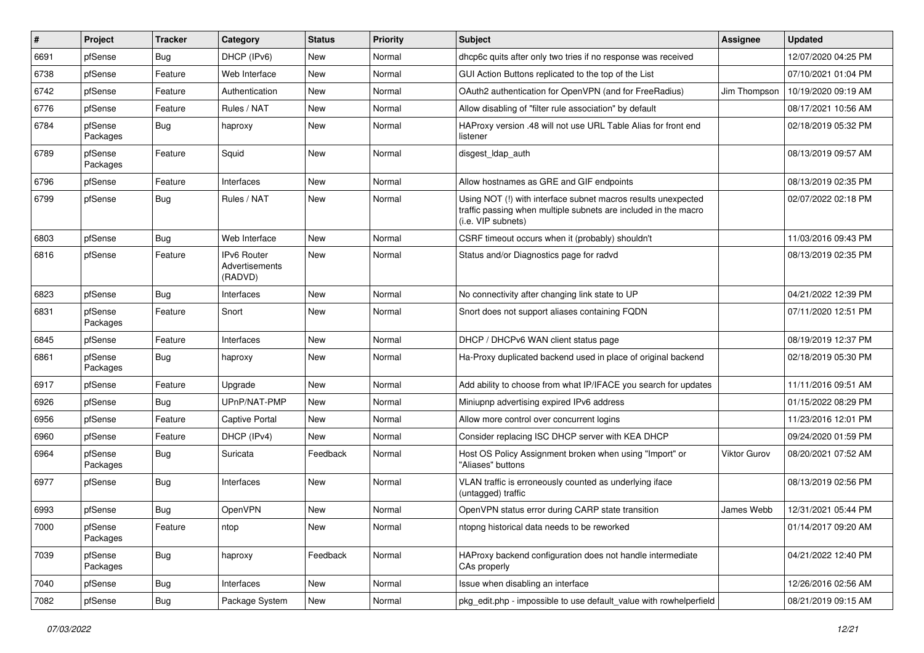| ∦    | Project             | <b>Tracker</b> | Category                                        | <b>Status</b> | <b>Priority</b> | <b>Subject</b>                                                                                                                                         | Assignee     | <b>Updated</b>      |
|------|---------------------|----------------|-------------------------------------------------|---------------|-----------------|--------------------------------------------------------------------------------------------------------------------------------------------------------|--------------|---------------------|
| 6691 | pfSense             | <b>Bug</b>     | DHCP (IPv6)                                     | New           | Normal          | dhcp6c quits after only two tries if no response was received                                                                                          |              | 12/07/2020 04:25 PM |
| 6738 | pfSense             | Feature        | Web Interface                                   | New           | Normal          | GUI Action Buttons replicated to the top of the List                                                                                                   |              | 07/10/2021 01:04 PM |
| 6742 | pfSense             | Feature        | Authentication                                  | New           | Normal          | OAuth2 authentication for OpenVPN (and for FreeRadius)                                                                                                 | Jim Thompson | 10/19/2020 09:19 AM |
| 6776 | pfSense             | Feature        | Rules / NAT                                     | New           | Normal          | Allow disabling of "filter rule association" by default                                                                                                |              | 08/17/2021 10:56 AM |
| 6784 | pfSense<br>Packages | <b>Bug</b>     | haproxy                                         | New           | Normal          | HAProxy version .48 will not use URL Table Alias for front end<br>listener                                                                             |              | 02/18/2019 05:32 PM |
| 6789 | pfSense<br>Packages | Feature        | Squid                                           | New           | Normal          | disgest_ldap_auth                                                                                                                                      |              | 08/13/2019 09:57 AM |
| 6796 | pfSense             | Feature        | Interfaces                                      | New           | Normal          | Allow hostnames as GRE and GIF endpoints                                                                                                               |              | 08/13/2019 02:35 PM |
| 6799 | pfSense             | Bug            | Rules / NAT                                     | New           | Normal          | Using NOT (!) with interface subnet macros results unexpected<br>traffic passing when multiple subnets are included in the macro<br>(i.e. VIP subnets) |              | 02/07/2022 02:18 PM |
| 6803 | pfSense             | <b>Bug</b>     | Web Interface                                   | New           | Normal          | CSRF timeout occurs when it (probably) shouldn't                                                                                                       |              | 11/03/2016 09:43 PM |
| 6816 | pfSense             | Feature        | IPv6 Router<br><b>Advertisements</b><br>(RADVD) | New           | Normal          | Status and/or Diagnostics page for radvd                                                                                                               |              | 08/13/2019 02:35 PM |
| 6823 | pfSense             | Bug            | Interfaces                                      | New           | Normal          | No connectivity after changing link state to UP                                                                                                        |              | 04/21/2022 12:39 PM |
| 6831 | pfSense<br>Packages | Feature        | Snort                                           | New           | Normal          | Snort does not support aliases containing FQDN                                                                                                         |              | 07/11/2020 12:51 PM |
| 6845 | pfSense             | Feature        | Interfaces                                      | New           | Normal          | DHCP / DHCPv6 WAN client status page                                                                                                                   |              | 08/19/2019 12:37 PM |
| 6861 | pfSense<br>Packages | Bug            | haproxy                                         | New           | Normal          | Ha-Proxy duplicated backend used in place of original backend                                                                                          |              | 02/18/2019 05:30 PM |
| 6917 | pfSense             | Feature        | Upgrade                                         | New           | Normal          | Add ability to choose from what IP/IFACE you search for updates                                                                                        |              | 11/11/2016 09:51 AM |
| 6926 | pfSense             | <b>Bug</b>     | UPnP/NAT-PMP                                    | New           | Normal          | Miniupnp advertising expired IPv6 address                                                                                                              |              | 01/15/2022 08:29 PM |
| 6956 | pfSense             | Feature        | Captive Portal                                  | New           | Normal          | Allow more control over concurrent logins                                                                                                              |              | 11/23/2016 12:01 PM |
| 6960 | pfSense             | Feature        | DHCP (IPv4)                                     | New           | Normal          | Consider replacing ISC DHCP server with KEA DHCP                                                                                                       |              | 09/24/2020 01:59 PM |
| 6964 | pfSense<br>Packages | <b>Bug</b>     | Suricata                                        | Feedback      | Normal          | Host OS Policy Assignment broken when using "Import" or<br>"Aliases" buttons                                                                           | Viktor Gurov | 08/20/2021 07:52 AM |
| 6977 | pfSense             | <b>Bug</b>     | Interfaces                                      | New           | Normal          | VLAN traffic is erroneously counted as underlying iface<br>(untagged) traffic                                                                          |              | 08/13/2019 02:56 PM |
| 6993 | pfSense             | Bug            | OpenVPN                                         | New           | Normal          | OpenVPN status error during CARP state transition                                                                                                      | James Webb   | 12/31/2021 05:44 PM |
| 7000 | pfSense<br>Packages | Feature        | ntop                                            | New           | Normal          | ntopng historical data needs to be reworked                                                                                                            |              | 01/14/2017 09:20 AM |
| 7039 | pfSense<br>Packages | <b>Bug</b>     | haproxy                                         | Feedback      | Normal          | HAProxy backend configuration does not handle intermediate<br>CAs properly                                                                             |              | 04/21/2022 12:40 PM |
| 7040 | pfSense             | <b>Bug</b>     | Interfaces                                      | New           | Normal          | Issue when disabling an interface                                                                                                                      |              | 12/26/2016 02:56 AM |
| 7082 | pfSense             | Bug            | Package System                                  | New           | Normal          | pkg_edit.php - impossible to use default_value with rowhelperfield                                                                                     |              | 08/21/2019 09:15 AM |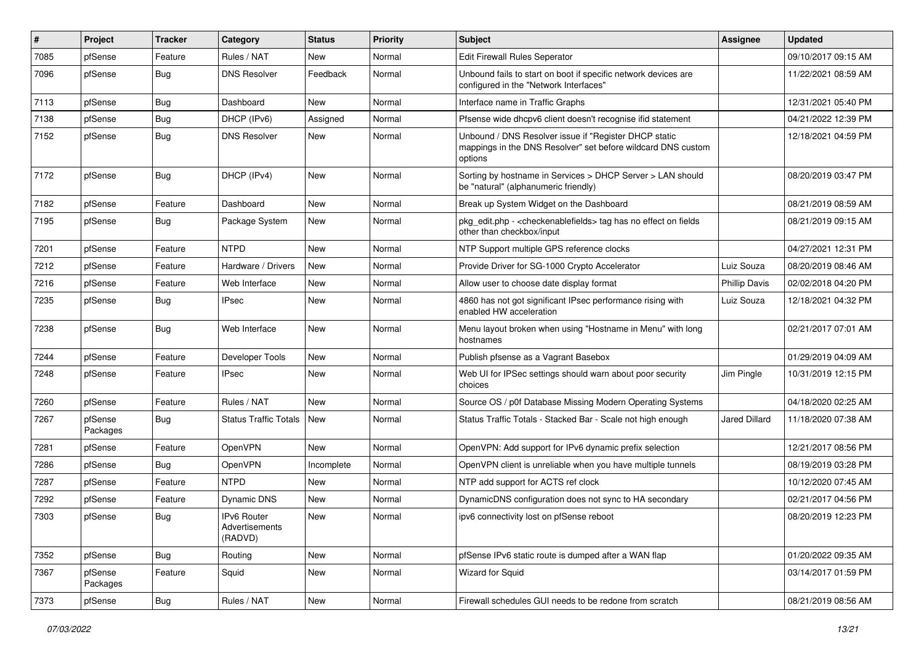| $\#$ | Project             | <b>Tracker</b> | Category                                        | <b>Status</b> | <b>Priority</b> | <b>Subject</b>                                                                                                                   | Assignee             | <b>Updated</b>      |
|------|---------------------|----------------|-------------------------------------------------|---------------|-----------------|----------------------------------------------------------------------------------------------------------------------------------|----------------------|---------------------|
| 7085 | pfSense             | Feature        | Rules / NAT                                     | <b>New</b>    | Normal          | Edit Firewall Rules Seperator                                                                                                    |                      | 09/10/2017 09:15 AM |
| 7096 | pfSense             | <b>Bug</b>     | <b>DNS Resolver</b>                             | Feedback      | Normal          | Unbound fails to start on boot if specific network devices are<br>configured in the "Network Interfaces"                         |                      | 11/22/2021 08:59 AM |
| 7113 | pfSense             | Bug            | Dashboard                                       | <b>New</b>    | Normal          | Interface name in Traffic Graphs                                                                                                 |                      | 12/31/2021 05:40 PM |
| 7138 | pfSense             | Bug            | DHCP (IPv6)                                     | Assigned      | Normal          | Pfsense wide dhcpv6 client doesn't recognise ifid statement                                                                      |                      | 04/21/2022 12:39 PM |
| 7152 | pfSense             | Bug            | <b>DNS Resolver</b>                             | New           | Normal          | Unbound / DNS Resolver issue if "Register DHCP static<br>mappings in the DNS Resolver" set before wildcard DNS custom<br>options |                      | 12/18/2021 04:59 PM |
| 7172 | pfSense             | <b>Bug</b>     | DHCP (IPv4)                                     | <b>New</b>    | Normal          | Sorting by hostname in Services > DHCP Server > LAN should<br>be "natural" (alphanumeric friendly)                               |                      | 08/20/2019 03:47 PM |
| 7182 | pfSense             | Feature        | Dashboard                                       | <b>New</b>    | Normal          | Break up System Widget on the Dashboard                                                                                          |                      | 08/21/2019 08:59 AM |
| 7195 | pfSense             | Bug            | Package System                                  | <b>New</b>    | Normal          | pkg_edit.php - < checkenablefields > tag has no effect on fields<br>other than checkbox/input                                    |                      | 08/21/2019 09:15 AM |
| 7201 | pfSense             | Feature        | <b>NTPD</b>                                     | <b>New</b>    | Normal          | NTP Support multiple GPS reference clocks                                                                                        |                      | 04/27/2021 12:31 PM |
| 7212 | pfSense             | Feature        | Hardware / Drivers                              | <b>New</b>    | Normal          | Provide Driver for SG-1000 Crypto Accelerator                                                                                    | Luiz Souza           | 08/20/2019 08:46 AM |
| 7216 | pfSense             | Feature        | Web Interface                                   | <b>New</b>    | Normal          | Allow user to choose date display format                                                                                         | <b>Phillip Davis</b> | 02/02/2018 04:20 PM |
| 7235 | pfSense             | Bug            | <b>IPsec</b>                                    | <b>New</b>    | Normal          | 4860 has not got significant IPsec performance rising with<br>enabled HW acceleration                                            | Luiz Souza           | 12/18/2021 04:32 PM |
| 7238 | pfSense             | Bug            | Web Interface                                   | New           | Normal          | Menu layout broken when using "Hostname in Menu" with long<br>hostnames                                                          |                      | 02/21/2017 07:01 AM |
| 7244 | pfSense             | Feature        | Developer Tools                                 | <b>New</b>    | Normal          | Publish pfsense as a Vagrant Basebox                                                                                             |                      | 01/29/2019 04:09 AM |
| 7248 | pfSense             | Feature        | <b>IPsec</b>                                    | <b>New</b>    | Normal          | Web UI for IPSec settings should warn about poor security<br>choices                                                             | Jim Pingle           | 10/31/2019 12:15 PM |
| 7260 | pfSense             | Feature        | Rules / NAT                                     | <b>New</b>    | Normal          | Source OS / p0f Database Missing Modern Operating Systems                                                                        |                      | 04/18/2020 02:25 AM |
| 7267 | pfSense<br>Packages | Bug            | Status Traffic Totals                           | <b>New</b>    | Normal          | Status Traffic Totals - Stacked Bar - Scale not high enough                                                                      | Jared Dillard        | 11/18/2020 07:38 AM |
| 7281 | pfSense             | Feature        | OpenVPN                                         | <b>New</b>    | Normal          | OpenVPN: Add support for IPv6 dynamic prefix selection                                                                           |                      | 12/21/2017 08:56 PM |
| 7286 | pfSense             | Bug            | <b>OpenVPN</b>                                  | Incomplete    | Normal          | OpenVPN client is unreliable when you have multiple tunnels                                                                      |                      | 08/19/2019 03:28 PM |
| 7287 | pfSense             | Feature        | <b>NTPD</b>                                     | New           | Normal          | NTP add support for ACTS ref clock                                                                                               |                      | 10/12/2020 07:45 AM |
| 7292 | pfSense             | Feature        | Dynamic DNS                                     | New           | Normal          | DynamicDNS configuration does not sync to HA secondary                                                                           |                      | 02/21/2017 04:56 PM |
| 7303 | pfSense             | Bug            | <b>IPv6 Router</b><br>Advertisements<br>(RADVD) | <b>New</b>    | Normal          | ipv6 connectivity lost on pfSense reboot                                                                                         |                      | 08/20/2019 12:23 PM |
| 7352 | pfSense             | Bug            | Routing                                         | New           | Normal          | pfSense IPv6 static route is dumped after a WAN flap                                                                             |                      | 01/20/2022 09:35 AM |
| 7367 | pfSense<br>Packages | Feature        | Squid                                           | New           | Normal          | Wizard for Squid                                                                                                                 |                      | 03/14/2017 01:59 PM |
| 7373 | pfSense             | <b>Bug</b>     | Rules / NAT                                     | New           | Normal          | Firewall schedules GUI needs to be redone from scratch                                                                           |                      | 08/21/2019 08:56 AM |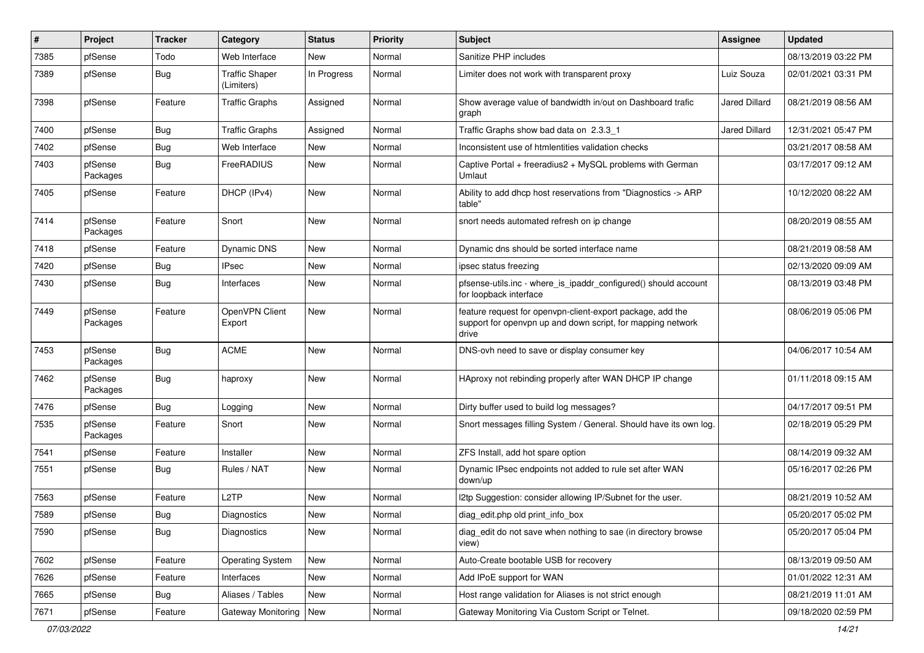| ∦    | Project             | <b>Tracker</b> | Category                            | <b>Status</b> | <b>Priority</b> | <b>Subject</b>                                                                                                                     | <b>Assignee</b>      | <b>Updated</b>      |
|------|---------------------|----------------|-------------------------------------|---------------|-----------------|------------------------------------------------------------------------------------------------------------------------------------|----------------------|---------------------|
| 7385 | pfSense             | Todo           | Web Interface                       | New           | Normal          | Sanitize PHP includes                                                                                                              |                      | 08/13/2019 03:22 PM |
| 7389 | pfSense             | <b>Bug</b>     | <b>Traffic Shaper</b><br>(Limiters) | In Progress   | Normal          | Limiter does not work with transparent proxy                                                                                       | Luiz Souza           | 02/01/2021 03:31 PM |
| 7398 | pfSense             | Feature        | <b>Traffic Graphs</b>               | Assigned      | Normal          | Show average value of bandwidth in/out on Dashboard trafic<br>graph                                                                | Jared Dillard        | 08/21/2019 08:56 AM |
| 7400 | pfSense             | Bug            | <b>Traffic Graphs</b>               | Assigned      | Normal          | Traffic Graphs show bad data on 2.3.3 1                                                                                            | <b>Jared Dillard</b> | 12/31/2021 05:47 PM |
| 7402 | pfSense             | <b>Bug</b>     | Web Interface                       | New           | Normal          | Inconsistent use of htmlentities validation checks                                                                                 |                      | 03/21/2017 08:58 AM |
| 7403 | pfSense<br>Packages | Bug            | FreeRADIUS                          | New           | Normal          | Captive Portal + freeradius2 + MySQL problems with German<br>Umlaut                                                                |                      | 03/17/2017 09:12 AM |
| 7405 | pfSense             | Feature        | DHCP (IPv4)                         | New           | Normal          | Ability to add dhcp host reservations from "Diagnostics -> ARP<br>table"                                                           |                      | 10/12/2020 08:22 AM |
| 7414 | pfSense<br>Packages | Feature        | Snort                               | <b>New</b>    | Normal          | snort needs automated refresh on ip change                                                                                         |                      | 08/20/2019 08:55 AM |
| 7418 | pfSense             | Feature        | <b>Dynamic DNS</b>                  | New           | Normal          | Dynamic dns should be sorted interface name                                                                                        |                      | 08/21/2019 08:58 AM |
| 7420 | pfSense             | <b>Bug</b>     | <b>IPsec</b>                        | New           | Normal          | ipsec status freezing                                                                                                              |                      | 02/13/2020 09:09 AM |
| 7430 | pfSense             | Bug            | Interfaces                          | <b>New</b>    | Normal          | pfsense-utils.inc - where is ipaddr configured() should account<br>for loopback interface                                          |                      | 08/13/2019 03:48 PM |
| 7449 | pfSense<br>Packages | Feature        | OpenVPN Client<br>Export            | New           | Normal          | feature request for openypn-client-export package, add the<br>support for openypn up and down script, for mapping network<br>drive |                      | 08/06/2019 05:06 PM |
| 7453 | pfSense<br>Packages | <b>Bug</b>     | <b>ACME</b>                         | New           | Normal          | DNS-ovh need to save or display consumer key                                                                                       |                      | 04/06/2017 10:54 AM |
| 7462 | pfSense<br>Packages | Bug            | haproxy                             | <b>New</b>    | Normal          | HAproxy not rebinding properly after WAN DHCP IP change                                                                            |                      | 01/11/2018 09:15 AM |
| 7476 | pfSense             | Bug            | Logging                             | New           | Normal          | Dirty buffer used to build log messages?                                                                                           |                      | 04/17/2017 09:51 PM |
| 7535 | pfSense<br>Packages | Feature        | Snort                               | New           | Normal          | Snort messages filling System / General. Should have its own log.                                                                  |                      | 02/18/2019 05:29 PM |
| 7541 | pfSense             | Feature        | Installer                           | New           | Normal          | ZFS Install, add hot spare option                                                                                                  |                      | 08/14/2019 09:32 AM |
| 7551 | pfSense             | Bug            | Rules / NAT                         | New           | Normal          | Dynamic IPsec endpoints not added to rule set after WAN<br>down/up                                                                 |                      | 05/16/2017 02:26 PM |
| 7563 | pfSense             | Feature        | L <sub>2</sub> TP                   | New           | Normal          | 12tp Suggestion: consider allowing IP/Subnet for the user.                                                                         |                      | 08/21/2019 10:52 AM |
| 7589 | pfSense             | <b>Bug</b>     | Diagnostics                         | New           | Normal          | diag_edit.php old print_info_box                                                                                                   |                      | 05/20/2017 05:02 PM |
| 7590 | pfSense             | <b>Bug</b>     | Diagnostics                         | <b>New</b>    | Normal          | diag_edit do not save when nothing to sae (in directory browse<br>view)                                                            |                      | 05/20/2017 05:04 PM |
| 7602 | pfSense             | Feature        | <b>Operating System</b>             | New           | Normal          | Auto-Create bootable USB for recovery                                                                                              |                      | 08/13/2019 09:50 AM |
| 7626 | pfSense             | Feature        | Interfaces                          | New           | Normal          | Add IPoE support for WAN                                                                                                           |                      | 01/01/2022 12:31 AM |
| 7665 | pfSense             | <b>Bug</b>     | Aliases / Tables                    | New           | Normal          | Host range validation for Aliases is not strict enough                                                                             |                      | 08/21/2019 11:01 AM |
| 7671 | pfSense             | Feature        | Gateway Monitoring                  | New           | Normal          | Gateway Monitoring Via Custom Script or Telnet.                                                                                    |                      | 09/18/2020 02:59 PM |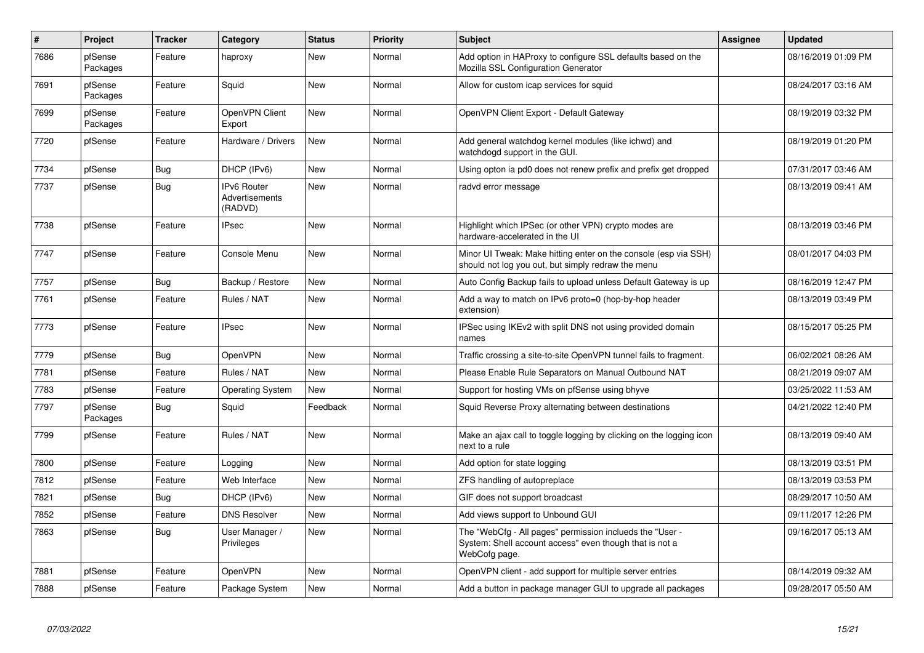| $\vert$ # | Project             | <b>Tracker</b> | Category                                        | <b>Status</b> | <b>Priority</b> | <b>Subject</b>                                                                                                                       | <b>Assignee</b> | <b>Updated</b>      |
|-----------|---------------------|----------------|-------------------------------------------------|---------------|-----------------|--------------------------------------------------------------------------------------------------------------------------------------|-----------------|---------------------|
| 7686      | pfSense<br>Packages | Feature        | haproxy                                         | <b>New</b>    | Normal          | Add option in HAProxy to configure SSL defaults based on the<br>Mozilla SSL Configuration Generator                                  |                 | 08/16/2019 01:09 PM |
| 7691      | pfSense<br>Packages | Feature        | Squid                                           | New           | Normal          | Allow for custom icap services for squid                                                                                             |                 | 08/24/2017 03:16 AM |
| 7699      | pfSense<br>Packages | Feature        | OpenVPN Client<br>Export                        | New           | Normal          | OpenVPN Client Export - Default Gateway                                                                                              |                 | 08/19/2019 03:32 PM |
| 7720      | pfSense             | Feature        | Hardware / Drivers                              | New           | Normal          | Add general watchdog kernel modules (like ichwd) and<br>watchdogd support in the GUI.                                                |                 | 08/19/2019 01:20 PM |
| 7734      | pfSense             | Bug            | DHCP (IPv6)                                     | New           | Normal          | Using opton ia pd0 does not renew prefix and prefix get dropped                                                                      |                 | 07/31/2017 03:46 AM |
| 7737      | pfSense             | <b>Bug</b>     | <b>IPv6 Router</b><br>Advertisements<br>(RADVD) | <b>New</b>    | Normal          | radvd error message                                                                                                                  |                 | 08/13/2019 09:41 AM |
| 7738      | pfSense             | Feature        | <b>IPsec</b>                                    | <b>New</b>    | Normal          | Highlight which IPSec (or other VPN) crypto modes are<br>hardware-accelerated in the UI                                              |                 | 08/13/2019 03:46 PM |
| 7747      | pfSense             | Feature        | Console Menu                                    | New           | Normal          | Minor UI Tweak: Make hitting enter on the console (esp via SSH)<br>should not log you out, but simply redraw the menu                |                 | 08/01/2017 04:03 PM |
| 7757      | pfSense             | Bug            | Backup / Restore                                | <b>New</b>    | Normal          | Auto Config Backup fails to upload unless Default Gateway is up                                                                      |                 | 08/16/2019 12:47 PM |
| 7761      | pfSense             | Feature        | Rules / NAT                                     | <b>New</b>    | Normal          | Add a way to match on IPv6 proto=0 (hop-by-hop header<br>extension)                                                                  |                 | 08/13/2019 03:49 PM |
| 7773      | pfSense             | Feature        | <b>IPsec</b>                                    | <b>New</b>    | Normal          | IPSec using IKEv2 with split DNS not using provided domain<br>names                                                                  |                 | 08/15/2017 05:25 PM |
| 7779      | pfSense             | Bug            | <b>OpenVPN</b>                                  | New           | Normal          | Traffic crossing a site-to-site OpenVPN tunnel fails to fragment.                                                                    |                 | 06/02/2021 08:26 AM |
| 7781      | pfSense             | Feature        | Rules / NAT                                     | <b>New</b>    | Normal          | Please Enable Rule Separators on Manual Outbound NAT                                                                                 |                 | 08/21/2019 09:07 AM |
| 7783      | pfSense             | Feature        | <b>Operating System</b>                         | <b>New</b>    | Normal          | Support for hosting VMs on pfSense using bhyve                                                                                       |                 | 03/25/2022 11:53 AM |
| 7797      | pfSense<br>Packages | <b>Bug</b>     | Squid                                           | Feedback      | Normal          | Squid Reverse Proxy alternating between destinations                                                                                 |                 | 04/21/2022 12:40 PM |
| 7799      | pfSense             | Feature        | Rules / NAT                                     | <b>New</b>    | Normal          | Make an ajax call to toggle logging by clicking on the logging icon<br>next to a rule                                                |                 | 08/13/2019 09:40 AM |
| 7800      | pfSense             | Feature        | Logging                                         | <b>New</b>    | Normal          | Add option for state logging                                                                                                         |                 | 08/13/2019 03:51 PM |
| 7812      | pfSense             | Feature        | Web Interface                                   | <b>New</b>    | Normal          | ZFS handling of autopreplace                                                                                                         |                 | 08/13/2019 03:53 PM |
| 7821      | pfSense             | Bug            | DHCP (IPv6)                                     | <b>New</b>    | Normal          | GIF does not support broadcast                                                                                                       |                 | 08/29/2017 10:50 AM |
| 7852      | pfSense             | Feature        | <b>DNS Resolver</b>                             | <b>New</b>    | Normal          | Add views support to Unbound GUI                                                                                                     |                 | 09/11/2017 12:26 PM |
| 7863      | pfSense             | <b>Bug</b>     | User Manager /<br>Privileges                    | <b>New</b>    | Normal          | The "WebCfg - All pages" permission inclueds the "User -<br>System: Shell account access" even though that is not a<br>WebCofg page. |                 | 09/16/2017 05:13 AM |
| 7881      | pfSense             | Feature        | <b>OpenVPN</b>                                  | New           | Normal          | OpenVPN client - add support for multiple server entries                                                                             |                 | 08/14/2019 09:32 AM |
| 7888      | pfSense             | Feature        | Package System                                  | <b>New</b>    | Normal          | Add a button in package manager GUI to upgrade all packages                                                                          |                 | 09/28/2017 05:50 AM |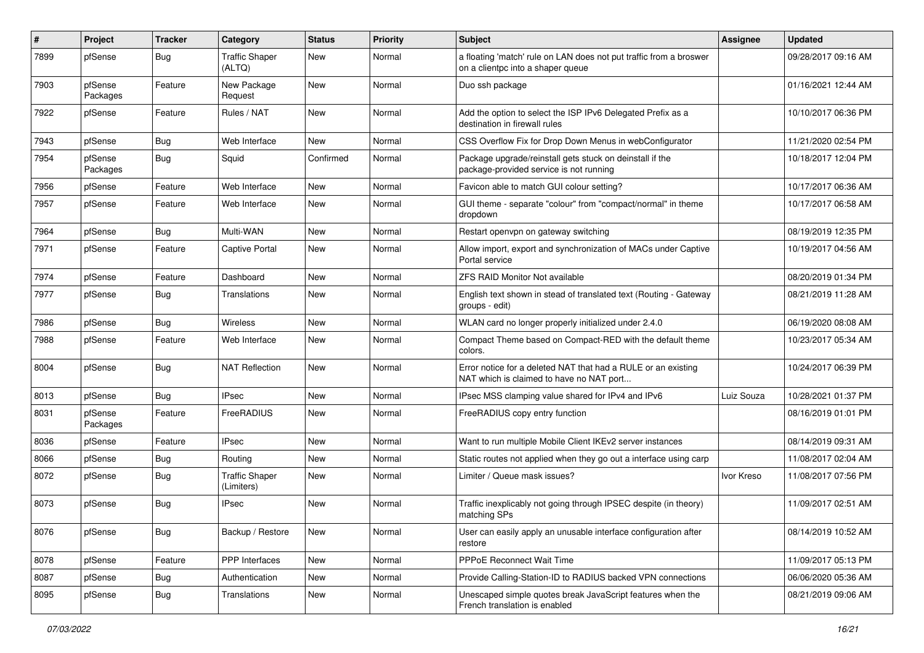| #    | Project             | <b>Tracker</b> | Category                            | <b>Status</b> | <b>Priority</b> | Subject                                                                                                   | Assignee   | <b>Updated</b>      |
|------|---------------------|----------------|-------------------------------------|---------------|-----------------|-----------------------------------------------------------------------------------------------------------|------------|---------------------|
| 7899 | pfSense             | Bug            | <b>Traffic Shaper</b><br>(ALTQ)     | New           | Normal          | a floating 'match' rule on LAN does not put traffic from a broswer<br>on a clientpc into a shaper queue   |            | 09/28/2017 09:16 AM |
| 7903 | pfSense<br>Packages | Feature        | New Package<br>Request              | New           | Normal          | Duo ssh package                                                                                           |            | 01/16/2021 12:44 AM |
| 7922 | pfSense             | Feature        | Rules / NAT                         | New           | Normal          | Add the option to select the ISP IPv6 Delegated Prefix as a<br>destination in firewall rules              |            | 10/10/2017 06:36 PM |
| 7943 | pfSense             | Bug            | Web Interface                       | New           | Normal          | CSS Overflow Fix for Drop Down Menus in webConfigurator                                                   |            | 11/21/2020 02:54 PM |
| 7954 | pfSense<br>Packages | Bug            | Squid                               | Confirmed     | Normal          | Package upgrade/reinstall gets stuck on deinstall if the<br>package-provided service is not running       |            | 10/18/2017 12:04 PM |
| 7956 | pfSense             | Feature        | Web Interface                       | <b>New</b>    | Normal          | Favicon able to match GUI colour setting?                                                                 |            | 10/17/2017 06:36 AM |
| 7957 | pfSense             | Feature        | Web Interface                       | New           | Normal          | GUI theme - separate "colour" from "compact/normal" in theme<br>dropdown                                  |            | 10/17/2017 06:58 AM |
| 7964 | pfSense             | Bug            | Multi-WAN                           | New           | Normal          | Restart openvpn on gateway switching                                                                      |            | 08/19/2019 12:35 PM |
| 7971 | pfSense             | Feature        | <b>Captive Portal</b>               | New           | Normal          | Allow import, export and synchronization of MACs under Captive<br>Portal service                          |            | 10/19/2017 04:56 AM |
| 7974 | pfSense             | Feature        | Dashboard                           | <b>New</b>    | Normal          | <b>ZFS RAID Monitor Not available</b>                                                                     |            | 08/20/2019 01:34 PM |
| 7977 | pfSense             | Bug            | Translations                        | New           | Normal          | English text shown in stead of translated text (Routing - Gateway<br>groups - edit)                       |            | 08/21/2019 11:28 AM |
| 7986 | pfSense             | <b>Bug</b>     | <b>Wireless</b>                     | New           | Normal          | WLAN card no longer properly initialized under 2.4.0                                                      |            | 06/19/2020 08:08 AM |
| 7988 | pfSense             | Feature        | Web Interface                       | New           | Normal          | Compact Theme based on Compact-RED with the default theme<br>colors.                                      |            | 10/23/2017 05:34 AM |
| 8004 | pfSense             | Bug            | <b>NAT Reflection</b>               | New           | Normal          | Error notice for a deleted NAT that had a RULE or an existing<br>NAT which is claimed to have no NAT port |            | 10/24/2017 06:39 PM |
| 8013 | pfSense             | Bug            | <b>IPsec</b>                        | New           | Normal          | IPsec MSS clamping value shared for IPv4 and IPv6                                                         | Luiz Souza | 10/28/2021 01:37 PM |
| 8031 | pfSense<br>Packages | Feature        | FreeRADIUS                          | New           | Normal          | FreeRADIUS copy entry function                                                                            |            | 08/16/2019 01:01 PM |
| 8036 | pfSense             | Feature        | <b>IPsec</b>                        | <b>New</b>    | Normal          | Want to run multiple Mobile Client IKEv2 server instances                                                 |            | 08/14/2019 09:31 AM |
| 8066 | pfSense             | Bug            | Routing                             | New           | Normal          | Static routes not applied when they go out a interface using carp                                         |            | 11/08/2017 02:04 AM |
| 8072 | pfSense             | Bug            | <b>Traffic Shaper</b><br>(Limiters) | <b>New</b>    | Normal          | Limiter / Queue mask issues?                                                                              | Ivor Kreso | 11/08/2017 07:56 PM |
| 8073 | pfSense             | Bug            | IPsec                               | New           | Normal          | Traffic inexplicably not going through IPSEC despite (in theory)<br>matching SPs                          |            | 11/09/2017 02:51 AM |
| 8076 | pfSense             | Bug            | Backup / Restore                    | New           | Normal          | User can easily apply an unusable interface configuration after<br>restore                                |            | 08/14/2019 10:52 AM |
| 8078 | pfSense             | Feature        | PPP Interfaces                      | New           | Normal          | PPPoE Reconnect Wait Time                                                                                 |            | 11/09/2017 05:13 PM |
| 8087 | pfSense             | Bug            | Authentication                      | New           | Normal          | Provide Calling-Station-ID to RADIUS backed VPN connections                                               |            | 06/06/2020 05:36 AM |
| 8095 | pfSense             | <b>Bug</b>     | Translations                        | New           | Normal          | Unescaped simple quotes break JavaScript features when the<br>French translation is enabled               |            | 08/21/2019 09:06 AM |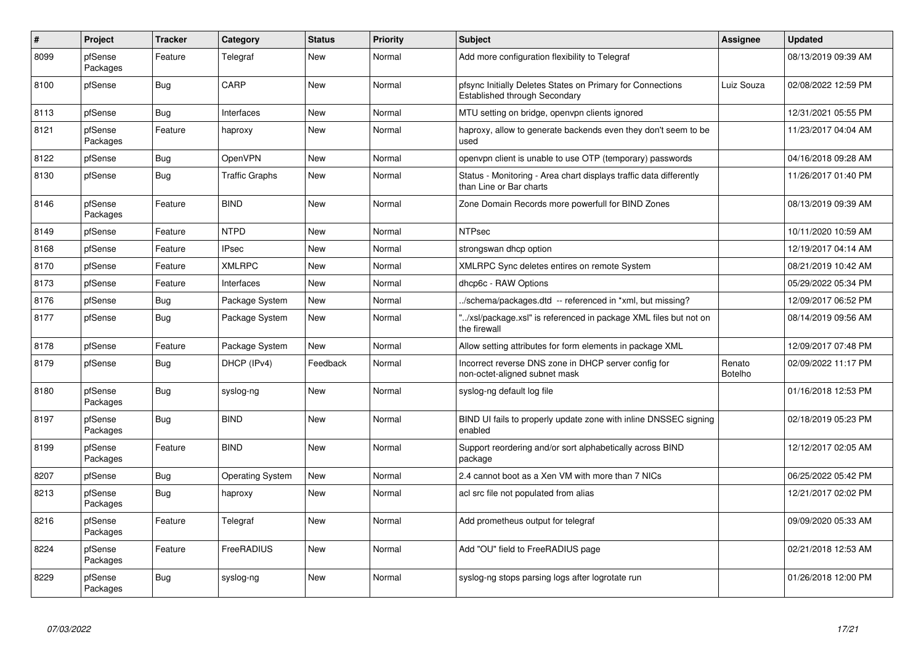| $\#$ | Project             | <b>Tracker</b> | Category                | <b>Status</b> | <b>Priority</b> | Subject                                                                                       | Assignee                 | <b>Updated</b>      |
|------|---------------------|----------------|-------------------------|---------------|-----------------|-----------------------------------------------------------------------------------------------|--------------------------|---------------------|
| 8099 | pfSense<br>Packages | Feature        | Telegraf                | New           | Normal          | Add more configuration flexibility to Telegraf                                                |                          | 08/13/2019 09:39 AM |
| 8100 | pfSense             | <b>Bug</b>     | CARP                    | <b>New</b>    | Normal          | pfsync Initially Deletes States on Primary for Connections<br>Established through Secondary   | Luiz Souza               | 02/08/2022 12:59 PM |
| 8113 | pfSense             | Bug            | Interfaces              | <b>New</b>    | Normal          | MTU setting on bridge, openvpn clients ignored                                                |                          | 12/31/2021 05:55 PM |
| 8121 | pfSense<br>Packages | Feature        | haproxy                 | New           | Normal          | haproxy, allow to generate backends even they don't seem to be<br>used                        |                          | 11/23/2017 04:04 AM |
| 8122 | pfSense             | <b>Bug</b>     | OpenVPN                 | <b>New</b>    | Normal          | openypn client is unable to use OTP (temporary) passwords                                     |                          | 04/16/2018 09:28 AM |
| 8130 | pfSense             | Bug            | Traffic Graphs          | New           | Normal          | Status - Monitoring - Area chart displays traffic data differently<br>than Line or Bar charts |                          | 11/26/2017 01:40 PM |
| 8146 | pfSense<br>Packages | Feature        | <b>BIND</b>             | <b>New</b>    | Normal          | Zone Domain Records more powerfull for BIND Zones                                             |                          | 08/13/2019 09:39 AM |
| 8149 | pfSense             | Feature        | <b>NTPD</b>             | <b>New</b>    | Normal          | <b>NTPsec</b>                                                                                 |                          | 10/11/2020 10:59 AM |
| 8168 | pfSense             | Feature        | <b>IPsec</b>            | <b>New</b>    | Normal          | strongswan dhcp option                                                                        |                          | 12/19/2017 04:14 AM |
| 8170 | pfSense             | Feature        | <b>XMLRPC</b>           | New           | Normal          | XMLRPC Sync deletes entires on remote System                                                  |                          | 08/21/2019 10:42 AM |
| 8173 | pfSense             | Feature        | Interfaces              | New           | Normal          | dhcp6c - RAW Options                                                                          |                          | 05/29/2022 05:34 PM |
| 8176 | pfSense             | <b>Bug</b>     | Package System          | New           | Normal          | /schema/packages.dtd -- referenced in *xml, but missing?                                      |                          | 12/09/2017 06:52 PM |
| 8177 | pfSense             | <b>Bug</b>     | Package System          | New           | Normal          | "/xsl/package.xsl" is referenced in package XML files but not on<br>the firewall              |                          | 08/14/2019 09:56 AM |
| 8178 | pfSense             | Feature        | Package System          | New           | Normal          | Allow setting attributes for form elements in package XML                                     |                          | 12/09/2017 07:48 PM |
| 8179 | pfSense             | <b>Bug</b>     | DHCP (IPv4)             | Feedback      | Normal          | Incorrect reverse DNS zone in DHCP server config for<br>non-octet-aligned subnet mask         | Renato<br><b>Botelho</b> | 02/09/2022 11:17 PM |
| 8180 | pfSense<br>Packages | Bug            | syslog-ng               | New           | Normal          | syslog-ng default log file                                                                    |                          | 01/16/2018 12:53 PM |
| 8197 | pfSense<br>Packages | <b>Bug</b>     | <b>BIND</b>             | New           | Normal          | BIND UI fails to properly update zone with inline DNSSEC signing<br>enabled                   |                          | 02/18/2019 05:23 PM |
| 8199 | pfSense<br>Packages | Feature        | <b>BIND</b>             | New           | Normal          | Support reordering and/or sort alphabetically across BIND<br>package                          |                          | 12/12/2017 02:05 AM |
| 8207 | pfSense             | Bug            | <b>Operating System</b> | <b>New</b>    | Normal          | 2.4 cannot boot as a Xen VM with more than 7 NICs                                             |                          | 06/25/2022 05:42 PM |
| 8213 | pfSense<br>Packages | <b>Bug</b>     | haproxy                 | New           | Normal          | acl src file not populated from alias                                                         |                          | 12/21/2017 02:02 PM |
| 8216 | pfSense<br>Packages | Feature        | Telegraf                | <b>New</b>    | Normal          | Add prometheus output for telegraf                                                            |                          | 09/09/2020 05:33 AM |
| 8224 | pfSense<br>Packages | Feature        | FreeRADIUS              | New           | Normal          | Add "OU" field to FreeRADIUS page                                                             |                          | 02/21/2018 12:53 AM |
| 8229 | pfSense<br>Packages | <b>Bug</b>     | syslog-ng               | <b>New</b>    | Normal          | syslog-ng stops parsing logs after logrotate run                                              |                          | 01/26/2018 12:00 PM |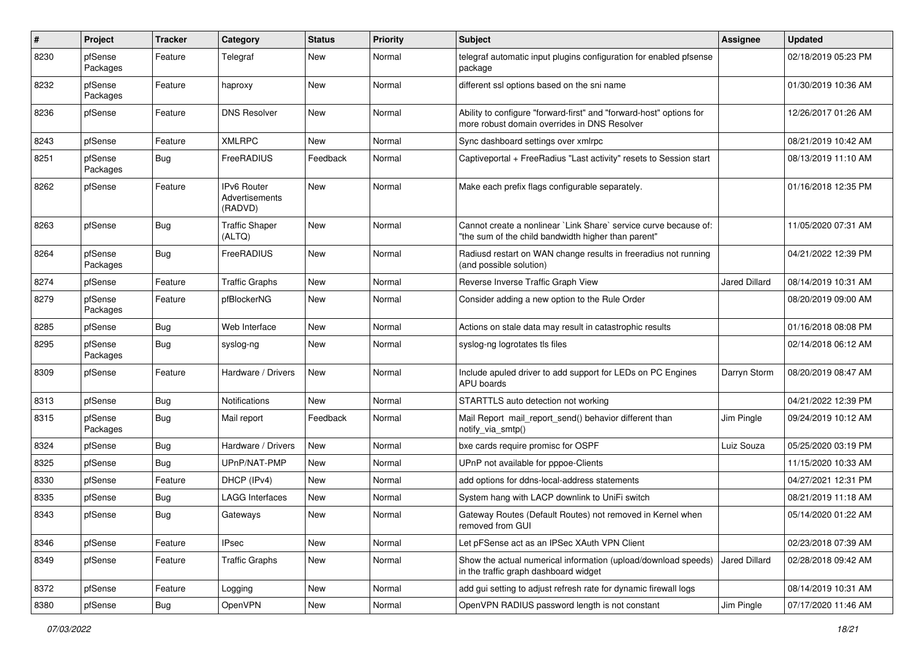| $\pmb{\#}$ | Project             | <b>Tracker</b> | Category                                        | <b>Status</b> | <b>Priority</b> | <b>Subject</b>                                                                                                          | Assignee      | <b>Updated</b>      |
|------------|---------------------|----------------|-------------------------------------------------|---------------|-----------------|-------------------------------------------------------------------------------------------------------------------------|---------------|---------------------|
| 8230       | pfSense<br>Packages | Feature        | Telegraf                                        | New           | Normal          | telegraf automatic input plugins configuration for enabled pfsense<br>package                                           |               | 02/18/2019 05:23 PM |
| 8232       | pfSense<br>Packages | Feature        | haproxy                                         | New           | Normal          | different ssl options based on the sni name                                                                             |               | 01/30/2019 10:36 AM |
| 8236       | pfSense             | Feature        | <b>DNS Resolver</b>                             | <b>New</b>    | Normal          | Ability to configure "forward-first" and "forward-host" options for<br>more robust domain overrides in DNS Resolver     |               | 12/26/2017 01:26 AM |
| 8243       | pfSense             | Feature        | <b>XMLRPC</b>                                   | New           | Normal          | Sync dashboard settings over xmlrpc                                                                                     |               | 08/21/2019 10:42 AM |
| 8251       | pfSense<br>Packages | <b>Bug</b>     | FreeRADIUS                                      | Feedback      | Normal          | Captiveportal + FreeRadius "Last activity" resets to Session start                                                      |               | 08/13/2019 11:10 AM |
| 8262       | pfSense             | Feature        | <b>IPv6 Router</b><br>Advertisements<br>(RADVD) | New           | Normal          | Make each prefix flags configurable separately.                                                                         |               | 01/16/2018 12:35 PM |
| 8263       | pfSense             | Bug            | <b>Traffic Shaper</b><br>(ALTQ)                 | New           | Normal          | Cannot create a nonlinear `Link Share` service curve because of:<br>"the sum of the child bandwidth higher than parent" |               | 11/05/2020 07:31 AM |
| 8264       | pfSense<br>Packages | Bug            | FreeRADIUS                                      | New           | Normal          | Radiusd restart on WAN change results in freeradius not running<br>(and possible solution)                              |               | 04/21/2022 12:39 PM |
| 8274       | pfSense             | Feature        | <b>Traffic Graphs</b>                           | New           | Normal          | Reverse Inverse Traffic Graph View                                                                                      | Jared Dillard | 08/14/2019 10:31 AM |
| 8279       | pfSense<br>Packages | Feature        | pfBlockerNG                                     | New           | Normal          | Consider adding a new option to the Rule Order                                                                          |               | 08/20/2019 09:00 AM |
| 8285       | pfSense             | Bug            | Web Interface                                   | <b>New</b>    | Normal          | Actions on stale data may result in catastrophic results                                                                |               | 01/16/2018 08:08 PM |
| 8295       | pfSense<br>Packages | <b>Bug</b>     | syslog-ng                                       | New           | Normal          | syslog-ng logrotates tls files                                                                                          |               | 02/14/2018 06:12 AM |
| 8309       | pfSense             | Feature        | Hardware / Drivers                              | New           | Normal          | Include apuled driver to add support for LEDs on PC Engines<br>APU boards                                               | Darryn Storm  | 08/20/2019 08:47 AM |
| 8313       | pfSense             | Bug            | Notifications                                   | <b>New</b>    | Normal          | STARTTLS auto detection not working                                                                                     |               | 04/21/2022 12:39 PM |
| 8315       | pfSense<br>Packages | Bug            | Mail report                                     | Feedback      | Normal          | Mail Report mail report send() behavior different than<br>notify_via_smtp()                                             | Jim Pingle    | 09/24/2019 10:12 AM |
| 8324       | pfSense             | <b>Bug</b>     | Hardware / Drivers                              | New           | Normal          | bxe cards require promisc for OSPF                                                                                      | Luiz Souza    | 05/25/2020 03:19 PM |
| 8325       | pfSense             | <b>Bug</b>     | UPnP/NAT-PMP                                    | New           | Normal          | UPnP not available for pppoe-Clients                                                                                    |               | 11/15/2020 10:33 AM |
| 8330       | pfSense             | Feature        | DHCP (IPv4)                                     | New           | Normal          | add options for ddns-local-address statements                                                                           |               | 04/27/2021 12:31 PM |
| 8335       | pfSense             | <b>Bug</b>     | LAGG Interfaces                                 | New           | Normal          | System hang with LACP downlink to UniFi switch                                                                          |               | 08/21/2019 11:18 AM |
| 8343       | pfSense             | <b>Bug</b>     | Gateways                                        | <b>New</b>    | Normal          | Gateway Routes (Default Routes) not removed in Kernel when<br>removed from GUI                                          |               | 05/14/2020 01:22 AM |
| 8346       | pfSense             | Feature        | <b>IPsec</b>                                    | New           | Normal          | Let pFSense act as an IPSec XAuth VPN Client                                                                            |               | 02/23/2018 07:39 AM |
| 8349       | pfSense             | Feature        | <b>Traffic Graphs</b>                           | New           | Normal          | Show the actual numerical information (upload/download speeds)<br>in the traffic graph dashboard widget                 | Jared Dillard | 02/28/2018 09:42 AM |
| 8372       | pfSense             | Feature        | Logging                                         | New           | Normal          | add gui setting to adjust refresh rate for dynamic firewall logs                                                        |               | 08/14/2019 10:31 AM |
| 8380       | pfSense             | Bug            | OpenVPN                                         | New           | Normal          | OpenVPN RADIUS password length is not constant                                                                          | Jim Pingle    | 07/17/2020 11:46 AM |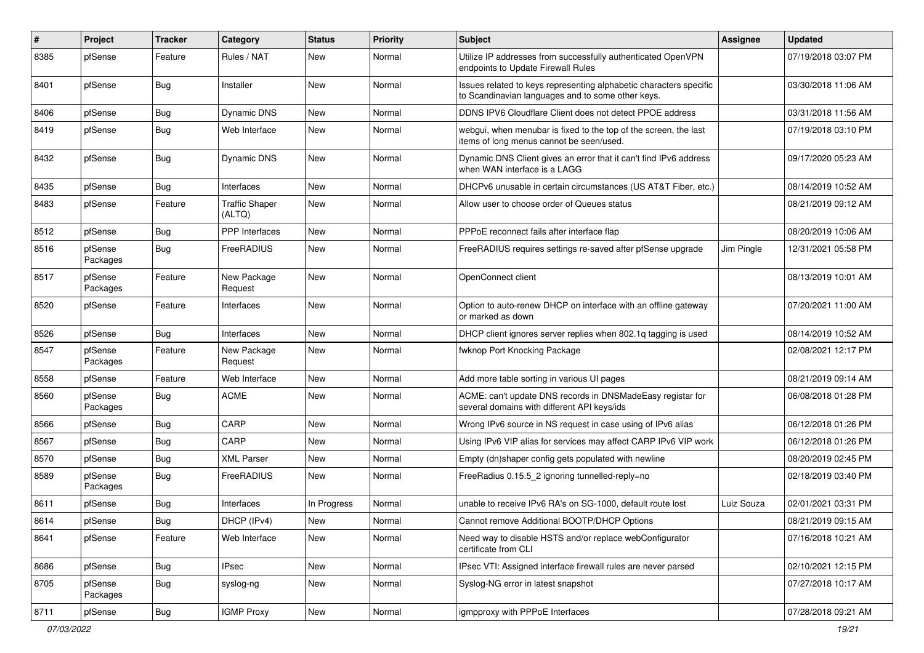| ∦    | Project             | <b>Tracker</b> | Category                        | <b>Status</b> | <b>Priority</b> | <b>Subject</b>                                                                                                          | Assignee   | <b>Updated</b>      |
|------|---------------------|----------------|---------------------------------|---------------|-----------------|-------------------------------------------------------------------------------------------------------------------------|------------|---------------------|
| 8385 | pfSense             | Feature        | Rules / NAT                     | New           | Normal          | Utilize IP addresses from successfully authenticated OpenVPN<br>endpoints to Update Firewall Rules                      |            | 07/19/2018 03:07 PM |
| 8401 | pfSense             | Bug            | Installer                       | New           | Normal          | Issues related to keys representing alphabetic characters specific<br>to Scandinavian languages and to some other keys. |            | 03/30/2018 11:06 AM |
| 8406 | pfSense             | <b>Bug</b>     | <b>Dynamic DNS</b>              | New           | Normal          | DDNS IPV6 Cloudflare Client does not detect PPOE address                                                                |            | 03/31/2018 11:56 AM |
| 8419 | pfSense             | <b>Bug</b>     | Web Interface                   | New           | Normal          | webgui, when menubar is fixed to the top of the screen, the last<br>items of long menus cannot be seen/used.            |            | 07/19/2018 03:10 PM |
| 8432 | pfSense             | Bug            | <b>Dynamic DNS</b>              | <b>New</b>    | Normal          | Dynamic DNS Client gives an error that it can't find IPv6 address<br>when WAN interface is a LAGG                       |            | 09/17/2020 05:23 AM |
| 8435 | pfSense             | <b>Bug</b>     | Interfaces                      | New           | Normal          | DHCPv6 unusable in certain circumstances (US AT&T Fiber, etc.)                                                          |            | 08/14/2019 10:52 AM |
| 8483 | pfSense             | Feature        | <b>Traffic Shaper</b><br>(ALTQ) | New           | Normal          | Allow user to choose order of Queues status                                                                             |            | 08/21/2019 09:12 AM |
| 8512 | pfSense             | Bug            | <b>PPP</b> Interfaces           | <b>New</b>    | Normal          | PPPoE reconnect fails after interface flap                                                                              |            | 08/20/2019 10:06 AM |
| 8516 | pfSense<br>Packages | Bug            | FreeRADIUS                      | New           | Normal          | FreeRADIUS requires settings re-saved after pfSense upgrade                                                             | Jim Pingle | 12/31/2021 05:58 PM |
| 8517 | pfSense<br>Packages | Feature        | New Package<br>Request          | New           | Normal          | OpenConnect client                                                                                                      |            | 08/13/2019 10:01 AM |
| 8520 | pfSense             | Feature        | Interfaces                      | New           | Normal          | Option to auto-renew DHCP on interface with an offline gateway<br>or marked as down                                     |            | 07/20/2021 11:00 AM |
| 8526 | pfSense             | Bug            | Interfaces                      | New           | Normal          | DHCP client ignores server replies when 802.1g tagging is used                                                          |            | 08/14/2019 10:52 AM |
| 8547 | pfSense<br>Packages | Feature        | New Package<br>Request          | New           | Normal          | fwknop Port Knocking Package                                                                                            |            | 02/08/2021 12:17 PM |
| 8558 | pfSense             | Feature        | Web Interface                   | New           | Normal          | Add more table sorting in various UI pages                                                                              |            | 08/21/2019 09:14 AM |
| 8560 | pfSense<br>Packages | <b>Bug</b>     | <b>ACME</b>                     | New           | Normal          | ACME: can't update DNS records in DNSMadeEasy registar for<br>several domains with different API keys/ids               |            | 06/08/2018 01:28 PM |
| 8566 | pfSense             | Bug            | CARP                            | New           | Normal          | Wrong IPv6 source in NS request in case using of IPv6 alias                                                             |            | 06/12/2018 01:26 PM |
| 8567 | pfSense             | Bug            | CARP                            | New           | Normal          | Using IPv6 VIP alias for services may affect CARP IPv6 VIP work                                                         |            | 06/12/2018 01:26 PM |
| 8570 | pfSense             | <b>Bug</b>     | <b>XML Parser</b>               | New           | Normal          | Empty (dn)shaper config gets populated with newline                                                                     |            | 08/20/2019 02:45 PM |
| 8589 | pfSense<br>Packages | Bug            | FreeRADIUS                      | New           | Normal          | FreeRadius 0.15.5 2 ignoring tunnelled-reply=no                                                                         |            | 02/18/2019 03:40 PM |
| 8611 | pfSense             | Bug            | Interfaces                      | In Progress   | Normal          | unable to receive IPv6 RA's on SG-1000, default route lost                                                              | Luiz Souza | 02/01/2021 03:31 PM |
| 8614 | pfSense             | Bug            | DHCP (IPv4)                     | New           | Normal          | Cannot remove Additional BOOTP/DHCP Options                                                                             |            | 08/21/2019 09:15 AM |
| 8641 | pfSense             | Feature        | Web Interface                   | New           | Normal          | Need way to disable HSTS and/or replace webConfigurator<br>certificate from CLI                                         |            | 07/16/2018 10:21 AM |
| 8686 | pfSense             | Bug            | <b>IPsec</b>                    | New           | Normal          | IPsec VTI: Assigned interface firewall rules are never parsed                                                           |            | 02/10/2021 12:15 PM |
| 8705 | pfSense<br>Packages | <b>Bug</b>     | syslog-ng                       | New           | Normal          | Syslog-NG error in latest snapshot                                                                                      |            | 07/27/2018 10:17 AM |
| 8711 | pfSense             | Bug            | <b>IGMP Proxy</b>               | New           | Normal          | igmpproxy with PPPoE Interfaces                                                                                         |            | 07/28/2018 09:21 AM |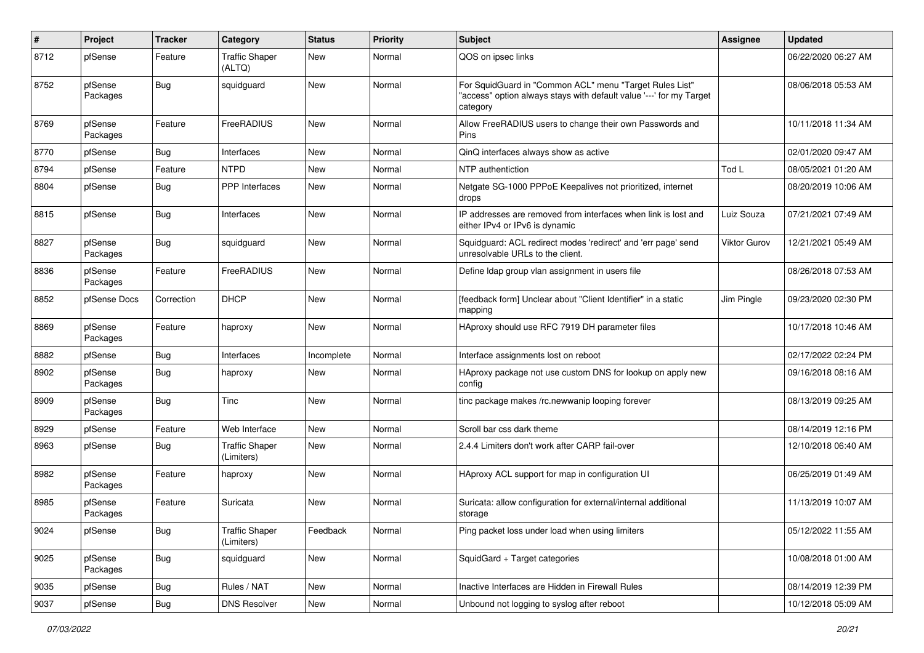| $\pmb{\#}$ | Project             | <b>Tracker</b> | Category                            | <b>Status</b> | <b>Priority</b> | <b>Subject</b>                                                                                                                             | <b>Assignee</b> | <b>Updated</b>      |
|------------|---------------------|----------------|-------------------------------------|---------------|-----------------|--------------------------------------------------------------------------------------------------------------------------------------------|-----------------|---------------------|
| 8712       | pfSense             | Feature        | <b>Traffic Shaper</b><br>(ALTQ)     | New           | Normal          | QOS on ipsec links                                                                                                                         |                 | 06/22/2020 06:27 AM |
| 8752       | pfSense<br>Packages | Bug            | squidguard                          | New           | Normal          | For SquidGuard in "Common ACL" menu "Target Rules List"<br>"access" option always stays with default value '---' for my Target<br>category |                 | 08/06/2018 05:53 AM |
| 8769       | pfSense<br>Packages | Feature        | FreeRADIUS                          | <b>New</b>    | Normal          | Allow FreeRADIUS users to change their own Passwords and<br>Pins                                                                           |                 | 10/11/2018 11:34 AM |
| 8770       | pfSense             | Bug            | Interfaces                          | <b>New</b>    | Normal          | QinQ interfaces always show as active                                                                                                      |                 | 02/01/2020 09:47 AM |
| 8794       | pfSense             | Feature        | <b>NTPD</b>                         | New           | Normal          | NTP authentiction                                                                                                                          | Tod L           | 08/05/2021 01:20 AM |
| 8804       | pfSense             | <b>Bug</b>     | <b>PPP</b> Interfaces               | New           | Normal          | Netgate SG-1000 PPPoE Keepalives not prioritized, internet<br>drops                                                                        |                 | 08/20/2019 10:06 AM |
| 8815       | pfSense             | Bug            | Interfaces                          | New           | Normal          | IP addresses are removed from interfaces when link is lost and<br>either IPv4 or IPv6 is dynamic                                           | Luiz Souza      | 07/21/2021 07:49 AM |
| 8827       | pfSense<br>Packages | Bug            | squidguard                          | <b>New</b>    | Normal          | Squidguard: ACL redirect modes 'redirect' and 'err page' send<br>unresolvable URLs to the client.                                          | Viktor Gurov    | 12/21/2021 05:49 AM |
| 8836       | pfSense<br>Packages | Feature        | FreeRADIUS                          | <b>New</b>    | Normal          | Define Idap group vlan assignment in users file                                                                                            |                 | 08/26/2018 07:53 AM |
| 8852       | pfSense Docs        | Correction     | <b>DHCP</b>                         | New           | Normal          | [feedback form] Unclear about "Client Identifier" in a static<br>mapping                                                                   | Jim Pingle      | 09/23/2020 02:30 PM |
| 8869       | pfSense<br>Packages | Feature        | haproxy                             | <b>New</b>    | Normal          | HAproxy should use RFC 7919 DH parameter files                                                                                             |                 | 10/17/2018 10:46 AM |
| 8882       | pfSense             | <b>Bug</b>     | Interfaces                          | Incomplete    | Normal          | Interface assignments lost on reboot                                                                                                       |                 | 02/17/2022 02:24 PM |
| 8902       | pfSense<br>Packages | Bug            | haproxy                             | New           | Normal          | HAproxy package not use custom DNS for lookup on apply new<br>config                                                                       |                 | 09/16/2018 08:16 AM |
| 8909       | pfSense<br>Packages | Bug            | Tinc                                | <b>New</b>    | Normal          | tinc package makes /rc.newwanip looping forever                                                                                            |                 | 08/13/2019 09:25 AM |
| 8929       | pfSense             | Feature        | Web Interface                       | <b>New</b>    | Normal          | Scroll bar css dark theme                                                                                                                  |                 | 08/14/2019 12:16 PM |
| 8963       | pfSense             | <b>Bug</b>     | <b>Traffic Shaper</b><br>(Limiters) | New           | Normal          | 2.4.4 Limiters don't work after CARP fail-over                                                                                             |                 | 12/10/2018 06:40 AM |
| 8982       | pfSense<br>Packages | Feature        | haproxy                             | New           | Normal          | HAproxy ACL support for map in configuration UI                                                                                            |                 | 06/25/2019 01:49 AM |
| 8985       | pfSense<br>Packages | Feature        | Suricata                            | New           | Normal          | Suricata: allow configuration for external/internal additional<br>storage                                                                  |                 | 11/13/2019 10:07 AM |
| 9024       | pfSense             | <b>Bug</b>     | <b>Traffic Shaper</b><br>(Limiters) | Feedback      | Normal          | Ping packet loss under load when using limiters                                                                                            |                 | 05/12/2022 11:55 AM |
| 9025       | pfSense<br>Packages | <b>Bug</b>     | squidguard                          | New           | Normal          | SquidGard + Target categories                                                                                                              |                 | 10/08/2018 01:00 AM |
| 9035       | pfSense             | Bug            | Rules / NAT                         | New           | Normal          | Inactive Interfaces are Hidden in Firewall Rules                                                                                           |                 | 08/14/2019 12:39 PM |
| 9037       | pfSense             | Bug            | <b>DNS Resolver</b>                 | New           | Normal          | Unbound not logging to syslog after reboot                                                                                                 |                 | 10/12/2018 05:09 AM |